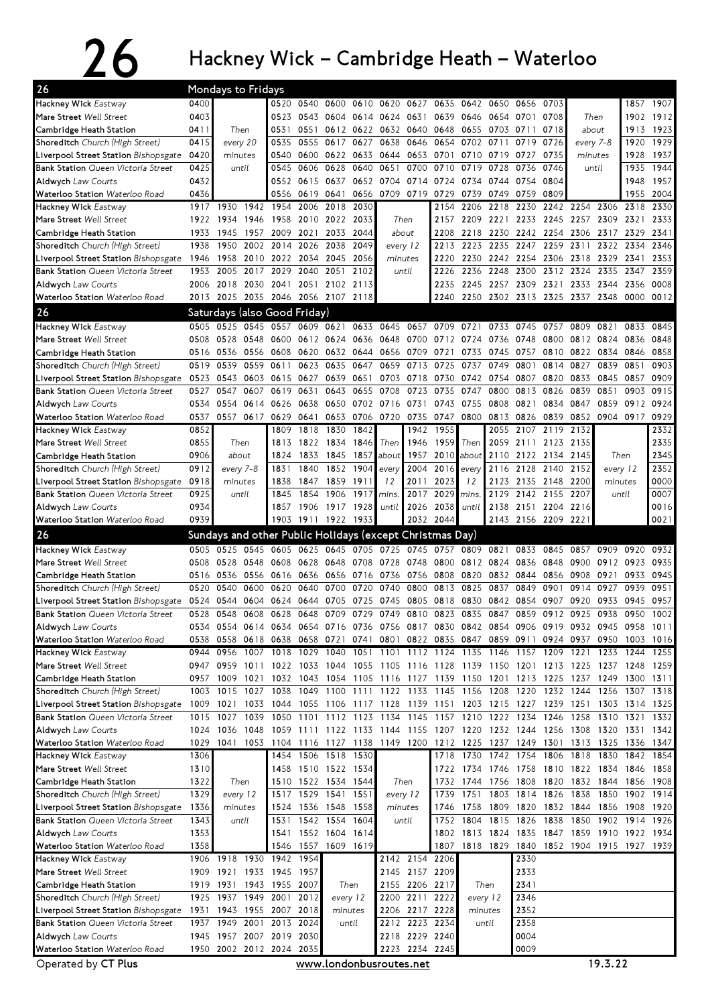## $26$  Hackney Wick – Cambridge Heath – Waterloo

| Hackney Wick Eastway<br>0400<br>0520 0540 0600<br>1857 1907<br>0610 0620 0627<br>0635<br>0642<br>0650<br>0656<br>0703<br>0403<br>1902 1912<br>0523<br>0543 0604<br>0639<br>0646<br>0708<br>0614 0624 0631<br>0654<br>0701<br>Then<br>1923<br>Cambridge Heath Station<br>0411<br>Then<br>0531<br>0551 0612 0622 0632 0640 0648 0655 0703 0711<br>0718<br>about<br>1913<br>0415<br>0555<br>0638 0646<br>0702 0711<br>0726<br>1929<br>Shoreditch Church (High Street)<br>every 20<br>0535<br>0617<br>0627<br>0654<br>0719<br>every 7-8<br>1920<br>0540<br>0600 0622 0633<br>0644 0653<br>0701 0710 0719<br>0735<br>1928<br>1937<br>Liverpool Street Station Bishopsgate<br>0420<br>minutes<br>0727<br>minutes<br>0651<br>1944<br>0425<br>0545<br>0606<br>0628<br>0640<br>0700<br>0710<br>0719<br>0728<br>0736<br>0746<br>1935<br>until<br>until<br>0704 0714<br>1957<br><b>Aldwych Law Courts</b><br>0432<br>0552<br>0615<br>0637<br>0652<br>0724<br>0734<br>0744<br>0754<br>0804<br>1948<br>0436<br>0656<br>0709 0719<br>0809<br>1955<br>2004<br>Waterloo Station Waterloo Road<br>0556<br>0619<br>0641<br>0729<br>0739<br>0749<br>0759<br>2030<br>1930<br>1942<br>1954<br>2006<br>2018<br>2154<br>2206<br>2218<br>2230<br>2242 2254<br>2306<br>2318<br>2330<br>1917<br>1946<br>1958 2010 2022 2033<br>2157 2209 2221 2233 2245 2257 2309<br>2321<br>2333<br>1922 1934<br>Then<br>1945 1957 2009<br>2021 2033<br>2218 2230 2242 2254 2306 2317 2329<br>2341<br>Cambridge Heath Station<br>1933<br>2044<br>about<br>2208<br>1950<br>2002<br>2014<br>2026<br>2038<br>2049<br>2223<br>2235<br>2247<br>2259<br>2311<br>2322<br>2334<br>2346<br>1938<br>2213<br>every 12<br>2010 2022 2034 2045<br>2220<br>2230 2242 2254 2306 2318<br>2353<br>Liverpool Street Station Bishopsgate<br>1946<br>1958<br>-2056<br>minutes<br>2329<br>2341<br><b>Bank Station</b> Queen Victoria Street<br>1953<br>2005<br>2017<br>2029<br>2040<br>2051<br>2102<br>until<br>2236<br>2248<br>2300<br>2312 2324<br>2335<br>2347<br>2359<br>2226<br><b>Aldwych Law Courts</b><br>2006<br>2018 2030 2041<br>2051 2102 2113<br>2235<br>2245 2257 2309 2321 2333 2344<br>2356<br>0008<br>Waterloo Station Waterloo Road<br>2013 2025 2035 2046 2056 2107 2118<br>2250 2302 2313 2325 2337 2348<br>0000<br>0012<br>2240<br>Saturdays (also Good Friday)<br>0545<br>Hackney Wick Eastway<br>0525<br>0557<br>0609 0621 0633 0645 0657 0709 0721<br>0733<br>0745<br>0757<br>0809<br>0821<br>0833<br>0845<br>0505<br>Mare Street Well Street<br>0528<br>0548<br>0600<br>0612 0624<br>0636 0648 0700 0712 0724 0736<br>0800<br>0812 0824<br>0836<br>0848<br>0508<br>0748<br>0536 0556<br>0608 0620 0632 0644 0656 0709<br>0721<br>0733<br>0745<br>0757<br>0810<br>0822 0834<br>0846<br>0858<br>0516<br>Cambridge Heath Station<br>0559<br>0611<br>0623 0635<br>0647<br>0659<br>0713<br>0725<br>0749<br>0801<br>0814<br>0827<br>0839<br>0851<br>0903<br>Shoreditch Church (High Street)<br>0519<br>0539<br>0737<br>0651<br>0703 0718<br>0730<br>0833<br>0845<br>0909<br>Liverpool Street Station Bishopsgate<br>0523<br>0543 0603<br>0615<br>0627<br>0639<br>0742<br>0754<br>0807<br>0820<br>0857<br>0915<br>0527<br>0547<br>0607<br>0619<br>0631<br>0643<br>0655<br>0708<br>0723<br>0735<br>0747<br>0800<br>0813<br>0826<br>0839<br>0851<br>0903<br><b>Aldwych Law Courts</b><br>0614<br>0638<br>0702 0716 0731<br>0743<br>0755<br>0808<br>0821<br>0834<br>0847<br>0859<br>0912<br>0924<br>0534<br>0554<br>0626<br>0650<br>0557<br>0617<br>0629<br>0641<br>0653<br>0706 0720<br>0735<br>0747<br>0800<br>0813<br>0826<br>0839<br>0852<br>0904<br>0917<br>0929<br>0537<br>1955<br>0852<br>1818<br>1830<br>1842<br>1942<br>2055<br>2107<br>2119<br>2332<br>1809<br>2132<br>Hackney Wick Eastway<br>2335<br>0855<br>2111<br>2123<br>1822 1834<br>1846<br>1959<br>Then<br>2059<br>2135<br>Then<br>1813<br>Then<br>1946<br>2345<br>about<br>1833<br>1845<br>1957<br>2010<br>about<br>2110<br>2122 2134<br>Then<br>Cambridge Heath Station<br>0906<br>1824<br>1857<br>about<br>2145<br>2352<br>1852 1904<br>2016<br>2116<br>2128<br>2152<br>Shoreditch Church (High Street)<br>0912<br>every 7-8<br>1831<br>1840<br>2004<br>2140<br>every 12<br>every<br>every<br>0000<br>0918<br>1838<br>1847<br>1859<br>1911<br>2011<br>2023<br>12<br>2123<br>2135<br>2148<br>2200<br>Liverpool Street Station Bishopsgate<br>minutes<br>12<br>minutes<br>0925<br>0007<br>1854<br>1906<br>1917<br>2017<br>2029<br>2129<br>2142 2155<br>2207<br>until<br>1845<br>mins.<br>until<br>mins.<br>0934<br>2038<br><b>Aldwych Law Courts</b><br>1906 1917<br>1928<br>2026<br>2138<br>2151 2204<br>2216<br>0016<br>1857<br>until<br>until<br>2032<br>2143 2156 2209<br>0021<br>0939<br>1903<br>1911 1922 1933<br>2044<br>2221<br>Sundays and other Public Holidays (except Christmas Day)<br>0525 0545 0605 0625 0645 0705<br>0725 0745 0757<br>0809 0821<br>0505<br>0833<br>0845<br>0857<br>0909<br>0920<br>0932<br>0628 0648<br>0728 0748<br>0935<br>Mare Street Well Street<br>0528 0548<br>0608<br>0708<br>0800 0812 0824<br>0836<br>0848<br>0900<br>0912 0923<br>0508<br>0636 0656 0716<br>0736 0756<br>0808<br>0820 0832<br>0844<br>0856<br>0908<br>0921<br>0933<br>0945<br>0516<br>0536 0556<br>0616<br>Cambridge Heath Station<br>0951<br>0520<br>0540<br>0600<br>0620<br>0640<br>0700<br>0720<br>0740<br>0800<br>0813<br>0825<br>0837<br>0849<br>0901<br>0914<br>0927<br>0939<br>0624 0644 0705<br>0725 0745 0805 0818 0830 0842 0854<br>0907<br>0920<br>0933<br>0945<br>0957<br>Liverpool Street Station Bishopsgate<br>0524 0544 0604<br>0528<br>0628<br>0648 0709<br>0729 0749 0810 0823<br>0835<br>0847<br>0859<br>0912<br>0925<br>0938<br>0950<br>1002<br>0548<br>0608<br>Aldwych Law Courts<br>0534 0554 0614 0634 0654 0716 0736 0756 0817 0830 0842 0854 0906 0919 0932 0945 0958 1011<br>0558<br>0618 0638 0658 0721 0741 0801 0822 0835 0847 0859 0911 0924 0937 0950 1003 1016<br>0538<br>1007 1018 1029 1040 1051 1101 1112 1124 1135 1146 1157 1209<br>0944 0956<br>1221 1233 1244<br>1255<br>Mare Street Well Street<br>0947 0959 1011 1022 1033 1044 1055 1105 1116 1128 1139 1150 1201 1213 1225 1237 1248 1259<br>1009<br>1032 1043 1054 1105 1116 1127 1139 1150 1201 1213 1225<br>1237<br>1300<br>0957<br>1021<br>1249<br>1311<br>Cambridge Heath Station<br>1145 1156 1208<br>1220<br>1232<br>Shoreditch Church (High Street)<br>1003 1015<br>1027<br>1038<br>1049 1100 1111 1122 1133<br>1244<br>1256<br>1307 1318<br>1055 1106 1117 1128 1139 1151 1203 1215 1227 1239 1251<br>Liverpool Street Station Bishopsgate<br>1009 1021<br>1033<br>1044<br>1303 1314 1325<br>1134 1145<br>1157 1210 1222 1234 1246<br>1258<br><b>Bank Station</b> Queen Victoria Street<br>1015 1027<br>1039<br>1050<br>1101 1112 1123<br>1310<br>1321<br>1332<br><b>Aldwych Law Courts</b><br>1024 1036<br>1048<br>1059 1111 1122 1133 1144 1155<br>1207 1220 1232 1244 1256 1308 1320<br>1331<br>1342<br>1029<br>1041<br>1053 1104 1116 1127 1138<br>1149 1200<br>1237<br>1249<br>1301<br>1313<br>1336 1347<br>1212 1225<br>1325<br>1454 1506 1518 1530<br>1718 1730 1742 1754 1806<br>1818<br>Hackney Wick Eastway<br>1306<br>1830<br>1842 1854<br>1458 1510 1522 1534<br>1722 1734 1746 1758 1810 1822 1834<br>1846<br>Mare Street Well Street<br>1310<br>1858<br>1322<br>1510 1522 1534 1544<br>1732 1744 1756<br>1808<br>1820<br>1832 1844<br>1856<br>Cambridge Heath Station<br>Then<br>Then<br>1908<br>1826<br>Shoreditch Church (High Street)<br>1329<br>1517 1529 1541 1551<br>1739 1751 1803 1814<br>1838<br>1850<br>1902 1914<br>every 12<br>every 12<br>1536 1548<br>1558<br>1758<br>1809<br>1820<br>1832<br>1844<br>1856<br>1908<br>Liverpool Street Station Bishopsgate<br>1336<br>minutes<br>1524<br>minutes<br>1746<br>1920<br>1542 1554 1604<br>1815<br>1826<br>1838<br>1850<br>1902<br>Bank Station Queen Victoria Street<br>1343<br>1531<br>1752 1804<br>1914 1926<br>until<br>until<br>1552 1604 1614<br>1802 1813 1824 1835 1847 1859 1910 1922 1934<br>Aldwych Law Courts<br>1353<br>1541<br>1557 1609 1619<br>1358<br>1546<br>1807 1818 1829 1840 1852 1904 1915 1927 1939<br>1906 1918<br>1930 1942<br>1954<br>2142 2154 2206<br>2330<br>2145 2157 2209<br>2333<br>1909 1921<br>1933 1945<br>Mare Street Well Street<br>1957<br>2341<br>1919 1931 1943 1955 2007<br>Then<br>2155 2206 2217<br>Cambridge Heath Station<br>Then<br>1949 2001<br>2200 2211 2222<br>2346<br>Shoreditch Church (High Street)<br>1925 1937<br>2012<br>every 12<br>every 12<br>2352<br>1931 1943 1955 2007<br>2206 2217 2228<br>Liverpool Street Station Bishopsgate<br>2018<br>minutes<br>minutes<br>1937 1949 2001 2013<br>2212 2223 2234<br>2358<br>2024<br>until<br>until<br>1945 1957 2007 2019 2030<br>2218 2229 2240<br>0004<br><b>Aldwych Law Courts</b><br>0009<br>1950 2002 2012 2024 2035<br>2223 2234 2245 | 26                                        | Mondays to Fridays |  |  |  |  |  |  |  |  |
|--------------------------------------------------------------------------------------------------------------------------------------------------------------------------------------------------------------------------------------------------------------------------------------------------------------------------------------------------------------------------------------------------------------------------------------------------------------------------------------------------------------------------------------------------------------------------------------------------------------------------------------------------------------------------------------------------------------------------------------------------------------------------------------------------------------------------------------------------------------------------------------------------------------------------------------------------------------------------------------------------------------------------------------------------------------------------------------------------------------------------------------------------------------------------------------------------------------------------------------------------------------------------------------------------------------------------------------------------------------------------------------------------------------------------------------------------------------------------------------------------------------------------------------------------------------------------------------------------------------------------------------------------------------------------------------------------------------------------------------------------------------------------------------------------------------------------------------------------------------------------------------------------------------------------------------------------------------------------------------------------------------------------------------------------------------------------------------------------------------------------------------------------------------------------------------------------------------------------------------------------------------------------------------------------------------------------------------------------------------------------------------------------------------------------------------------------------------------------------------------------------------------------------------------------------------------------------------------------------------------------------------------------------------------------------------------------------------------------------------------------------------------------------------------------------------------------------------------------------------------------------------------------------------------------------------------------------------------------------------------------------------------------------------------------------------------------------------------------------------------------------------------------------------------------------------------------------------------------------------------------------------------------------------------------------------------------------------------------------------------------------------------------------------------------------------------------------------------------------------------------------------------------------------------------------------------------------------------------------------------------------------------------------------------------------------------------------------------------------------------------------------------------------------------------------------------------------------------------------------------------------------------------------------------------------------------------------------------------------------------------------------------------------------------------------------------------------------------------------------------------------------------------------------------------------------------------------------------------------------------------------------------------------------------------------------------------------------------------------------------------------------------------------------------------------------------------------------------------------------------------------------------------------------------------------------------------------------------------------------------------------------------------------------------------------------------------------------------------------------------------------------------------------------------------------------------------------------------------------------------------------------------------------------------------------------------------------------------------------------------------------------------------------------------------------------------------------------------------------------------------------------------------------------------------------------------------------------------------------------------------------------------------------------------------------------------------------------------------------------------------------------------------------------------------------------------------------------------------------------------------------------------------------------------------------------------------------------------------------------------------------------------------------------------------------------------------------------------------------------------------------------------------------------------------------------------------------------------------------------------------------------------------------------------------------------------------------------------------------------------------------------------------------------------------------------------------------------------------------------------------------------------------------------------------------------------------------------------------------------------------------------------------------------------------------------------------------------------------------------------------------------------------------------------------------------------------------------------------------------------------------------------------------------------------------------------------------------------------------------------------------------------------------------------------------------------------------------------------------------------------------------------------------------------------------------------------------------------------------------------------------------------------------------------------------------------------------------------------------------------------------------------------------------------------------------------------------------------------------------------------------------------------------------------------------------------------------------------------------------------------------------------------------------------------------------------------------------------------------------------------------------------------------------------------------------------------------------------------------------------------------------------------------------------------------------------------------------------------------------------------------------------------------------------------------------------------------------------------------------------------------------------------------------------------------------------------------------------------------------------------------------------------------------------------------------------------------------------------------------------------------------------------------------------------------------------------------------------------------------------------------------------------------------------------------------------------------------------------------------------------------------------------------------------------------------------------------------------------------------------------------------------------------------------------------------------------------------------------------------------------------------------------------------------------------------------------------------------------------------------------------------------------------------------------------------------------------------------------------------------------------------------------------------------------------------------------------------------------------------|-------------------------------------------|--------------------|--|--|--|--|--|--|--|--|
|                                                                                                                                                                                                                                                                                                                                                                                                                                                                                                                                                                                                                                                                                                                                                                                                                                                                                                                                                                                                                                                                                                                                                                                                                                                                                                                                                                                                                                                                                                                                                                                                                                                                                                                                                                                                                                                                                                                                                                                                                                                                                                                                                                                                                                                                                                                                                                                                                                                                                                                                                                                                                                                                                                                                                                                                                                                                                                                                                                                                                                                                                                                                                                                                                                                                                                                                                                                                                                                                                                                                                                                                                                                                                                                                                                                                                                                                                                                                                                                                                                                                                                                                                                                                                                                                                                                                                                                                                                                                                                                                                                                                                                                                                                                                                                                                                                                                                                                                                                                                                                                                                                                                                                                                                                                                                                                                                                                                                                                                                                                                                                                                                                                                                                                                                                                                                                                                                                                                                                                                                                                                                                                                                                                                                                                                                                                                                                                                                                                                                                                                                                                                                                                                                                                                                                                                                                                                                                                                                                                                                                                                                                                                                                                                                                                                                                                                                                                                                                                                                                                                                                                                                                                                                                                                                                                                                                                                                                                                                                                                                                                                                                                                                                                                                                                                                                                                                                                                                                                                                                                                                                                                                                                                                                                                                                                                                                                              |                                           |                    |  |  |  |  |  |  |  |  |
|                                                                                                                                                                                                                                                                                                                                                                                                                                                                                                                                                                                                                                                                                                                                                                                                                                                                                                                                                                                                                                                                                                                                                                                                                                                                                                                                                                                                                                                                                                                                                                                                                                                                                                                                                                                                                                                                                                                                                                                                                                                                                                                                                                                                                                                                                                                                                                                                                                                                                                                                                                                                                                                                                                                                                                                                                                                                                                                                                                                                                                                                                                                                                                                                                                                                                                                                                                                                                                                                                                                                                                                                                                                                                                                                                                                                                                                                                                                                                                                                                                                                                                                                                                                                                                                                                                                                                                                                                                                                                                                                                                                                                                                                                                                                                                                                                                                                                                                                                                                                                                                                                                                                                                                                                                                                                                                                                                                                                                                                                                                                                                                                                                                                                                                                                                                                                                                                                                                                                                                                                                                                                                                                                                                                                                                                                                                                                                                                                                                                                                                                                                                                                                                                                                                                                                                                                                                                                                                                                                                                                                                                                                                                                                                                                                                                                                                                                                                                                                                                                                                                                                                                                                                                                                                                                                                                                                                                                                                                                                                                                                                                                                                                                                                                                                                                                                                                                                                                                                                                                                                                                                                                                                                                                                                                                                                                                                                              | Mare Street Well Street                   |                    |  |  |  |  |  |  |  |  |
|                                                                                                                                                                                                                                                                                                                                                                                                                                                                                                                                                                                                                                                                                                                                                                                                                                                                                                                                                                                                                                                                                                                                                                                                                                                                                                                                                                                                                                                                                                                                                                                                                                                                                                                                                                                                                                                                                                                                                                                                                                                                                                                                                                                                                                                                                                                                                                                                                                                                                                                                                                                                                                                                                                                                                                                                                                                                                                                                                                                                                                                                                                                                                                                                                                                                                                                                                                                                                                                                                                                                                                                                                                                                                                                                                                                                                                                                                                                                                                                                                                                                                                                                                                                                                                                                                                                                                                                                                                                                                                                                                                                                                                                                                                                                                                                                                                                                                                                                                                                                                                                                                                                                                                                                                                                                                                                                                                                                                                                                                                                                                                                                                                                                                                                                                                                                                                                                                                                                                                                                                                                                                                                                                                                                                                                                                                                                                                                                                                                                                                                                                                                                                                                                                                                                                                                                                                                                                                                                                                                                                                                                                                                                                                                                                                                                                                                                                                                                                                                                                                                                                                                                                                                                                                                                                                                                                                                                                                                                                                                                                                                                                                                                                                                                                                                                                                                                                                                                                                                                                                                                                                                                                                                                                                                                                                                                                                                              |                                           |                    |  |  |  |  |  |  |  |  |
|                                                                                                                                                                                                                                                                                                                                                                                                                                                                                                                                                                                                                                                                                                                                                                                                                                                                                                                                                                                                                                                                                                                                                                                                                                                                                                                                                                                                                                                                                                                                                                                                                                                                                                                                                                                                                                                                                                                                                                                                                                                                                                                                                                                                                                                                                                                                                                                                                                                                                                                                                                                                                                                                                                                                                                                                                                                                                                                                                                                                                                                                                                                                                                                                                                                                                                                                                                                                                                                                                                                                                                                                                                                                                                                                                                                                                                                                                                                                                                                                                                                                                                                                                                                                                                                                                                                                                                                                                                                                                                                                                                                                                                                                                                                                                                                                                                                                                                                                                                                                                                                                                                                                                                                                                                                                                                                                                                                                                                                                                                                                                                                                                                                                                                                                                                                                                                                                                                                                                                                                                                                                                                                                                                                                                                                                                                                                                                                                                                                                                                                                                                                                                                                                                                                                                                                                                                                                                                                                                                                                                                                                                                                                                                                                                                                                                                                                                                                                                                                                                                                                                                                                                                                                                                                                                                                                                                                                                                                                                                                                                                                                                                                                                                                                                                                                                                                                                                                                                                                                                                                                                                                                                                                                                                                                                                                                                                                              |                                           |                    |  |  |  |  |  |  |  |  |
|                                                                                                                                                                                                                                                                                                                                                                                                                                                                                                                                                                                                                                                                                                                                                                                                                                                                                                                                                                                                                                                                                                                                                                                                                                                                                                                                                                                                                                                                                                                                                                                                                                                                                                                                                                                                                                                                                                                                                                                                                                                                                                                                                                                                                                                                                                                                                                                                                                                                                                                                                                                                                                                                                                                                                                                                                                                                                                                                                                                                                                                                                                                                                                                                                                                                                                                                                                                                                                                                                                                                                                                                                                                                                                                                                                                                                                                                                                                                                                                                                                                                                                                                                                                                                                                                                                                                                                                                                                                                                                                                                                                                                                                                                                                                                                                                                                                                                                                                                                                                                                                                                                                                                                                                                                                                                                                                                                                                                                                                                                                                                                                                                                                                                                                                                                                                                                                                                                                                                                                                                                                                                                                                                                                                                                                                                                                                                                                                                                                                                                                                                                                                                                                                                                                                                                                                                                                                                                                                                                                                                                                                                                                                                                                                                                                                                                                                                                                                                                                                                                                                                                                                                                                                                                                                                                                                                                                                                                                                                                                                                                                                                                                                                                                                                                                                                                                                                                                                                                                                                                                                                                                                                                                                                                                                                                                                                                                              |                                           |                    |  |  |  |  |  |  |  |  |
|                                                                                                                                                                                                                                                                                                                                                                                                                                                                                                                                                                                                                                                                                                                                                                                                                                                                                                                                                                                                                                                                                                                                                                                                                                                                                                                                                                                                                                                                                                                                                                                                                                                                                                                                                                                                                                                                                                                                                                                                                                                                                                                                                                                                                                                                                                                                                                                                                                                                                                                                                                                                                                                                                                                                                                                                                                                                                                                                                                                                                                                                                                                                                                                                                                                                                                                                                                                                                                                                                                                                                                                                                                                                                                                                                                                                                                                                                                                                                                                                                                                                                                                                                                                                                                                                                                                                                                                                                                                                                                                                                                                                                                                                                                                                                                                                                                                                                                                                                                                                                                                                                                                                                                                                                                                                                                                                                                                                                                                                                                                                                                                                                                                                                                                                                                                                                                                                                                                                                                                                                                                                                                                                                                                                                                                                                                                                                                                                                                                                                                                                                                                                                                                                                                                                                                                                                                                                                                                                                                                                                                                                                                                                                                                                                                                                                                                                                                                                                                                                                                                                                                                                                                                                                                                                                                                                                                                                                                                                                                                                                                                                                                                                                                                                                                                                                                                                                                                                                                                                                                                                                                                                                                                                                                                                                                                                                                                              | <b>Bank Station</b> Queen Victoria Street |                    |  |  |  |  |  |  |  |  |
|                                                                                                                                                                                                                                                                                                                                                                                                                                                                                                                                                                                                                                                                                                                                                                                                                                                                                                                                                                                                                                                                                                                                                                                                                                                                                                                                                                                                                                                                                                                                                                                                                                                                                                                                                                                                                                                                                                                                                                                                                                                                                                                                                                                                                                                                                                                                                                                                                                                                                                                                                                                                                                                                                                                                                                                                                                                                                                                                                                                                                                                                                                                                                                                                                                                                                                                                                                                                                                                                                                                                                                                                                                                                                                                                                                                                                                                                                                                                                                                                                                                                                                                                                                                                                                                                                                                                                                                                                                                                                                                                                                                                                                                                                                                                                                                                                                                                                                                                                                                                                                                                                                                                                                                                                                                                                                                                                                                                                                                                                                                                                                                                                                                                                                                                                                                                                                                                                                                                                                                                                                                                                                                                                                                                                                                                                                                                                                                                                                                                                                                                                                                                                                                                                                                                                                                                                                                                                                                                                                                                                                                                                                                                                                                                                                                                                                                                                                                                                                                                                                                                                                                                                                                                                                                                                                                                                                                                                                                                                                                                                                                                                                                                                                                                                                                                                                                                                                                                                                                                                                                                                                                                                                                                                                                                                                                                                                                              |                                           |                    |  |  |  |  |  |  |  |  |
|                                                                                                                                                                                                                                                                                                                                                                                                                                                                                                                                                                                                                                                                                                                                                                                                                                                                                                                                                                                                                                                                                                                                                                                                                                                                                                                                                                                                                                                                                                                                                                                                                                                                                                                                                                                                                                                                                                                                                                                                                                                                                                                                                                                                                                                                                                                                                                                                                                                                                                                                                                                                                                                                                                                                                                                                                                                                                                                                                                                                                                                                                                                                                                                                                                                                                                                                                                                                                                                                                                                                                                                                                                                                                                                                                                                                                                                                                                                                                                                                                                                                                                                                                                                                                                                                                                                                                                                                                                                                                                                                                                                                                                                                                                                                                                                                                                                                                                                                                                                                                                                                                                                                                                                                                                                                                                                                                                                                                                                                                                                                                                                                                                                                                                                                                                                                                                                                                                                                                                                                                                                                                                                                                                                                                                                                                                                                                                                                                                                                                                                                                                                                                                                                                                                                                                                                                                                                                                                                                                                                                                                                                                                                                                                                                                                                                                                                                                                                                                                                                                                                                                                                                                                                                                                                                                                                                                                                                                                                                                                                                                                                                                                                                                                                                                                                                                                                                                                                                                                                                                                                                                                                                                                                                                                                                                                                                                                              |                                           |                    |  |  |  |  |  |  |  |  |
|                                                                                                                                                                                                                                                                                                                                                                                                                                                                                                                                                                                                                                                                                                                                                                                                                                                                                                                                                                                                                                                                                                                                                                                                                                                                                                                                                                                                                                                                                                                                                                                                                                                                                                                                                                                                                                                                                                                                                                                                                                                                                                                                                                                                                                                                                                                                                                                                                                                                                                                                                                                                                                                                                                                                                                                                                                                                                                                                                                                                                                                                                                                                                                                                                                                                                                                                                                                                                                                                                                                                                                                                                                                                                                                                                                                                                                                                                                                                                                                                                                                                                                                                                                                                                                                                                                                                                                                                                                                                                                                                                                                                                                                                                                                                                                                                                                                                                                                                                                                                                                                                                                                                                                                                                                                                                                                                                                                                                                                                                                                                                                                                                                                                                                                                                                                                                                                                                                                                                                                                                                                                                                                                                                                                                                                                                                                                                                                                                                                                                                                                                                                                                                                                                                                                                                                                                                                                                                                                                                                                                                                                                                                                                                                                                                                                                                                                                                                                                                                                                                                                                                                                                                                                                                                                                                                                                                                                                                                                                                                                                                                                                                                                                                                                                                                                                                                                                                                                                                                                                                                                                                                                                                                                                                                                                                                                                                                              | Hackney Wick Eastway                      |                    |  |  |  |  |  |  |  |  |
|                                                                                                                                                                                                                                                                                                                                                                                                                                                                                                                                                                                                                                                                                                                                                                                                                                                                                                                                                                                                                                                                                                                                                                                                                                                                                                                                                                                                                                                                                                                                                                                                                                                                                                                                                                                                                                                                                                                                                                                                                                                                                                                                                                                                                                                                                                                                                                                                                                                                                                                                                                                                                                                                                                                                                                                                                                                                                                                                                                                                                                                                                                                                                                                                                                                                                                                                                                                                                                                                                                                                                                                                                                                                                                                                                                                                                                                                                                                                                                                                                                                                                                                                                                                                                                                                                                                                                                                                                                                                                                                                                                                                                                                                                                                                                                                                                                                                                                                                                                                                                                                                                                                                                                                                                                                                                                                                                                                                                                                                                                                                                                                                                                                                                                                                                                                                                                                                                                                                                                                                                                                                                                                                                                                                                                                                                                                                                                                                                                                                                                                                                                                                                                                                                                                                                                                                                                                                                                                                                                                                                                                                                                                                                                                                                                                                                                                                                                                                                                                                                                                                                                                                                                                                                                                                                                                                                                                                                                                                                                                                                                                                                                                                                                                                                                                                                                                                                                                                                                                                                                                                                                                                                                                                                                                                                                                                                                                              | Mare Street Well Street                   |                    |  |  |  |  |  |  |  |  |
|                                                                                                                                                                                                                                                                                                                                                                                                                                                                                                                                                                                                                                                                                                                                                                                                                                                                                                                                                                                                                                                                                                                                                                                                                                                                                                                                                                                                                                                                                                                                                                                                                                                                                                                                                                                                                                                                                                                                                                                                                                                                                                                                                                                                                                                                                                                                                                                                                                                                                                                                                                                                                                                                                                                                                                                                                                                                                                                                                                                                                                                                                                                                                                                                                                                                                                                                                                                                                                                                                                                                                                                                                                                                                                                                                                                                                                                                                                                                                                                                                                                                                                                                                                                                                                                                                                                                                                                                                                                                                                                                                                                                                                                                                                                                                                                                                                                                                                                                                                                                                                                                                                                                                                                                                                                                                                                                                                                                                                                                                                                                                                                                                                                                                                                                                                                                                                                                                                                                                                                                                                                                                                                                                                                                                                                                                                                                                                                                                                                                                                                                                                                                                                                                                                                                                                                                                                                                                                                                                                                                                                                                                                                                                                                                                                                                                                                                                                                                                                                                                                                                                                                                                                                                                                                                                                                                                                                                                                                                                                                                                                                                                                                                                                                                                                                                                                                                                                                                                                                                                                                                                                                                                                                                                                                                                                                                                                                              |                                           |                    |  |  |  |  |  |  |  |  |
|                                                                                                                                                                                                                                                                                                                                                                                                                                                                                                                                                                                                                                                                                                                                                                                                                                                                                                                                                                                                                                                                                                                                                                                                                                                                                                                                                                                                                                                                                                                                                                                                                                                                                                                                                                                                                                                                                                                                                                                                                                                                                                                                                                                                                                                                                                                                                                                                                                                                                                                                                                                                                                                                                                                                                                                                                                                                                                                                                                                                                                                                                                                                                                                                                                                                                                                                                                                                                                                                                                                                                                                                                                                                                                                                                                                                                                                                                                                                                                                                                                                                                                                                                                                                                                                                                                                                                                                                                                                                                                                                                                                                                                                                                                                                                                                                                                                                                                                                                                                                                                                                                                                                                                                                                                                                                                                                                                                                                                                                                                                                                                                                                                                                                                                                                                                                                                                                                                                                                                                                                                                                                                                                                                                                                                                                                                                                                                                                                                                                                                                                                                                                                                                                                                                                                                                                                                                                                                                                                                                                                                                                                                                                                                                                                                                                                                                                                                                                                                                                                                                                                                                                                                                                                                                                                                                                                                                                                                                                                                                                                                                                                                                                                                                                                                                                                                                                                                                                                                                                                                                                                                                                                                                                                                                                                                                                                                                              | Shoreditch Church (High Street)           |                    |  |  |  |  |  |  |  |  |
|                                                                                                                                                                                                                                                                                                                                                                                                                                                                                                                                                                                                                                                                                                                                                                                                                                                                                                                                                                                                                                                                                                                                                                                                                                                                                                                                                                                                                                                                                                                                                                                                                                                                                                                                                                                                                                                                                                                                                                                                                                                                                                                                                                                                                                                                                                                                                                                                                                                                                                                                                                                                                                                                                                                                                                                                                                                                                                                                                                                                                                                                                                                                                                                                                                                                                                                                                                                                                                                                                                                                                                                                                                                                                                                                                                                                                                                                                                                                                                                                                                                                                                                                                                                                                                                                                                                                                                                                                                                                                                                                                                                                                                                                                                                                                                                                                                                                                                                                                                                                                                                                                                                                                                                                                                                                                                                                                                                                                                                                                                                                                                                                                                                                                                                                                                                                                                                                                                                                                                                                                                                                                                                                                                                                                                                                                                                                                                                                                                                                                                                                                                                                                                                                                                                                                                                                                                                                                                                                                                                                                                                                                                                                                                                                                                                                                                                                                                                                                                                                                                                                                                                                                                                                                                                                                                                                                                                                                                                                                                                                                                                                                                                                                                                                                                                                                                                                                                                                                                                                                                                                                                                                                                                                                                                                                                                                                                                              |                                           |                    |  |  |  |  |  |  |  |  |
|                                                                                                                                                                                                                                                                                                                                                                                                                                                                                                                                                                                                                                                                                                                                                                                                                                                                                                                                                                                                                                                                                                                                                                                                                                                                                                                                                                                                                                                                                                                                                                                                                                                                                                                                                                                                                                                                                                                                                                                                                                                                                                                                                                                                                                                                                                                                                                                                                                                                                                                                                                                                                                                                                                                                                                                                                                                                                                                                                                                                                                                                                                                                                                                                                                                                                                                                                                                                                                                                                                                                                                                                                                                                                                                                                                                                                                                                                                                                                                                                                                                                                                                                                                                                                                                                                                                                                                                                                                                                                                                                                                                                                                                                                                                                                                                                                                                                                                                                                                                                                                                                                                                                                                                                                                                                                                                                                                                                                                                                                                                                                                                                                                                                                                                                                                                                                                                                                                                                                                                                                                                                                                                                                                                                                                                                                                                                                                                                                                                                                                                                                                                                                                                                                                                                                                                                                                                                                                                                                                                                                                                                                                                                                                                                                                                                                                                                                                                                                                                                                                                                                                                                                                                                                                                                                                                                                                                                                                                                                                                                                                                                                                                                                                                                                                                                                                                                                                                                                                                                                                                                                                                                                                                                                                                                                                                                                                                              |                                           |                    |  |  |  |  |  |  |  |  |
|                                                                                                                                                                                                                                                                                                                                                                                                                                                                                                                                                                                                                                                                                                                                                                                                                                                                                                                                                                                                                                                                                                                                                                                                                                                                                                                                                                                                                                                                                                                                                                                                                                                                                                                                                                                                                                                                                                                                                                                                                                                                                                                                                                                                                                                                                                                                                                                                                                                                                                                                                                                                                                                                                                                                                                                                                                                                                                                                                                                                                                                                                                                                                                                                                                                                                                                                                                                                                                                                                                                                                                                                                                                                                                                                                                                                                                                                                                                                                                                                                                                                                                                                                                                                                                                                                                                                                                                                                                                                                                                                                                                                                                                                                                                                                                                                                                                                                                                                                                                                                                                                                                                                                                                                                                                                                                                                                                                                                                                                                                                                                                                                                                                                                                                                                                                                                                                                                                                                                                                                                                                                                                                                                                                                                                                                                                                                                                                                                                                                                                                                                                                                                                                                                                                                                                                                                                                                                                                                                                                                                                                                                                                                                                                                                                                                                                                                                                                                                                                                                                                                                                                                                                                                                                                                                                                                                                                                                                                                                                                                                                                                                                                                                                                                                                                                                                                                                                                                                                                                                                                                                                                                                                                                                                                                                                                                                                                              |                                           |                    |  |  |  |  |  |  |  |  |
|                                                                                                                                                                                                                                                                                                                                                                                                                                                                                                                                                                                                                                                                                                                                                                                                                                                                                                                                                                                                                                                                                                                                                                                                                                                                                                                                                                                                                                                                                                                                                                                                                                                                                                                                                                                                                                                                                                                                                                                                                                                                                                                                                                                                                                                                                                                                                                                                                                                                                                                                                                                                                                                                                                                                                                                                                                                                                                                                                                                                                                                                                                                                                                                                                                                                                                                                                                                                                                                                                                                                                                                                                                                                                                                                                                                                                                                                                                                                                                                                                                                                                                                                                                                                                                                                                                                                                                                                                                                                                                                                                                                                                                                                                                                                                                                                                                                                                                                                                                                                                                                                                                                                                                                                                                                                                                                                                                                                                                                                                                                                                                                                                                                                                                                                                                                                                                                                                                                                                                                                                                                                                                                                                                                                                                                                                                                                                                                                                                                                                                                                                                                                                                                                                                                                                                                                                                                                                                                                                                                                                                                                                                                                                                                                                                                                                                                                                                                                                                                                                                                                                                                                                                                                                                                                                                                                                                                                                                                                                                                                                                                                                                                                                                                                                                                                                                                                                                                                                                                                                                                                                                                                                                                                                                                                                                                                                                                              |                                           |                    |  |  |  |  |  |  |  |  |
|                                                                                                                                                                                                                                                                                                                                                                                                                                                                                                                                                                                                                                                                                                                                                                                                                                                                                                                                                                                                                                                                                                                                                                                                                                                                                                                                                                                                                                                                                                                                                                                                                                                                                                                                                                                                                                                                                                                                                                                                                                                                                                                                                                                                                                                                                                                                                                                                                                                                                                                                                                                                                                                                                                                                                                                                                                                                                                                                                                                                                                                                                                                                                                                                                                                                                                                                                                                                                                                                                                                                                                                                                                                                                                                                                                                                                                                                                                                                                                                                                                                                                                                                                                                                                                                                                                                                                                                                                                                                                                                                                                                                                                                                                                                                                                                                                                                                                                                                                                                                                                                                                                                                                                                                                                                                                                                                                                                                                                                                                                                                                                                                                                                                                                                                                                                                                                                                                                                                                                                                                                                                                                                                                                                                                                                                                                                                                                                                                                                                                                                                                                                                                                                                                                                                                                                                                                                                                                                                                                                                                                                                                                                                                                                                                                                                                                                                                                                                                                                                                                                                                                                                                                                                                                                                                                                                                                                                                                                                                                                                                                                                                                                                                                                                                                                                                                                                                                                                                                                                                                                                                                                                                                                                                                                                                                                                                                                              | 26                                        |                    |  |  |  |  |  |  |  |  |
|                                                                                                                                                                                                                                                                                                                                                                                                                                                                                                                                                                                                                                                                                                                                                                                                                                                                                                                                                                                                                                                                                                                                                                                                                                                                                                                                                                                                                                                                                                                                                                                                                                                                                                                                                                                                                                                                                                                                                                                                                                                                                                                                                                                                                                                                                                                                                                                                                                                                                                                                                                                                                                                                                                                                                                                                                                                                                                                                                                                                                                                                                                                                                                                                                                                                                                                                                                                                                                                                                                                                                                                                                                                                                                                                                                                                                                                                                                                                                                                                                                                                                                                                                                                                                                                                                                                                                                                                                                                                                                                                                                                                                                                                                                                                                                                                                                                                                                                                                                                                                                                                                                                                                                                                                                                                                                                                                                                                                                                                                                                                                                                                                                                                                                                                                                                                                                                                                                                                                                                                                                                                                                                                                                                                                                                                                                                                                                                                                                                                                                                                                                                                                                                                                                                                                                                                                                                                                                                                                                                                                                                                                                                                                                                                                                                                                                                                                                                                                                                                                                                                                                                                                                                                                                                                                                                                                                                                                                                                                                                                                                                                                                                                                                                                                                                                                                                                                                                                                                                                                                                                                                                                                                                                                                                                                                                                                                                              |                                           |                    |  |  |  |  |  |  |  |  |
|                                                                                                                                                                                                                                                                                                                                                                                                                                                                                                                                                                                                                                                                                                                                                                                                                                                                                                                                                                                                                                                                                                                                                                                                                                                                                                                                                                                                                                                                                                                                                                                                                                                                                                                                                                                                                                                                                                                                                                                                                                                                                                                                                                                                                                                                                                                                                                                                                                                                                                                                                                                                                                                                                                                                                                                                                                                                                                                                                                                                                                                                                                                                                                                                                                                                                                                                                                                                                                                                                                                                                                                                                                                                                                                                                                                                                                                                                                                                                                                                                                                                                                                                                                                                                                                                                                                                                                                                                                                                                                                                                                                                                                                                                                                                                                                                                                                                                                                                                                                                                                                                                                                                                                                                                                                                                                                                                                                                                                                                                                                                                                                                                                                                                                                                                                                                                                                                                                                                                                                                                                                                                                                                                                                                                                                                                                                                                                                                                                                                                                                                                                                                                                                                                                                                                                                                                                                                                                                                                                                                                                                                                                                                                                                                                                                                                                                                                                                                                                                                                                                                                                                                                                                                                                                                                                                                                                                                                                                                                                                                                                                                                                                                                                                                                                                                                                                                                                                                                                                                                                                                                                                                                                                                                                                                                                                                                                                              |                                           |                    |  |  |  |  |  |  |  |  |
|                                                                                                                                                                                                                                                                                                                                                                                                                                                                                                                                                                                                                                                                                                                                                                                                                                                                                                                                                                                                                                                                                                                                                                                                                                                                                                                                                                                                                                                                                                                                                                                                                                                                                                                                                                                                                                                                                                                                                                                                                                                                                                                                                                                                                                                                                                                                                                                                                                                                                                                                                                                                                                                                                                                                                                                                                                                                                                                                                                                                                                                                                                                                                                                                                                                                                                                                                                                                                                                                                                                                                                                                                                                                                                                                                                                                                                                                                                                                                                                                                                                                                                                                                                                                                                                                                                                                                                                                                                                                                                                                                                                                                                                                                                                                                                                                                                                                                                                                                                                                                                                                                                                                                                                                                                                                                                                                                                                                                                                                                                                                                                                                                                                                                                                                                                                                                                                                                                                                                                                                                                                                                                                                                                                                                                                                                                                                                                                                                                                                                                                                                                                                                                                                                                                                                                                                                                                                                                                                                                                                                                                                                                                                                                                                                                                                                                                                                                                                                                                                                                                                                                                                                                                                                                                                                                                                                                                                                                                                                                                                                                                                                                                                                                                                                                                                                                                                                                                                                                                                                                                                                                                                                                                                                                                                                                                                                                                              |                                           |                    |  |  |  |  |  |  |  |  |
|                                                                                                                                                                                                                                                                                                                                                                                                                                                                                                                                                                                                                                                                                                                                                                                                                                                                                                                                                                                                                                                                                                                                                                                                                                                                                                                                                                                                                                                                                                                                                                                                                                                                                                                                                                                                                                                                                                                                                                                                                                                                                                                                                                                                                                                                                                                                                                                                                                                                                                                                                                                                                                                                                                                                                                                                                                                                                                                                                                                                                                                                                                                                                                                                                                                                                                                                                                                                                                                                                                                                                                                                                                                                                                                                                                                                                                                                                                                                                                                                                                                                                                                                                                                                                                                                                                                                                                                                                                                                                                                                                                                                                                                                                                                                                                                                                                                                                                                                                                                                                                                                                                                                                                                                                                                                                                                                                                                                                                                                                                                                                                                                                                                                                                                                                                                                                                                                                                                                                                                                                                                                                                                                                                                                                                                                                                                                                                                                                                                                                                                                                                                                                                                                                                                                                                                                                                                                                                                                                                                                                                                                                                                                                                                                                                                                                                                                                                                                                                                                                                                                                                                                                                                                                                                                                                                                                                                                                                                                                                                                                                                                                                                                                                                                                                                                                                                                                                                                                                                                                                                                                                                                                                                                                                                                                                                                                                                              |                                           |                    |  |  |  |  |  |  |  |  |
|                                                                                                                                                                                                                                                                                                                                                                                                                                                                                                                                                                                                                                                                                                                                                                                                                                                                                                                                                                                                                                                                                                                                                                                                                                                                                                                                                                                                                                                                                                                                                                                                                                                                                                                                                                                                                                                                                                                                                                                                                                                                                                                                                                                                                                                                                                                                                                                                                                                                                                                                                                                                                                                                                                                                                                                                                                                                                                                                                                                                                                                                                                                                                                                                                                                                                                                                                                                                                                                                                                                                                                                                                                                                                                                                                                                                                                                                                                                                                                                                                                                                                                                                                                                                                                                                                                                                                                                                                                                                                                                                                                                                                                                                                                                                                                                                                                                                                                                                                                                                                                                                                                                                                                                                                                                                                                                                                                                                                                                                                                                                                                                                                                                                                                                                                                                                                                                                                                                                                                                                                                                                                                                                                                                                                                                                                                                                                                                                                                                                                                                                                                                                                                                                                                                                                                                                                                                                                                                                                                                                                                                                                                                                                                                                                                                                                                                                                                                                                                                                                                                                                                                                                                                                                                                                                                                                                                                                                                                                                                                                                                                                                                                                                                                                                                                                                                                                                                                                                                                                                                                                                                                                                                                                                                                                                                                                                                                              |                                           |                    |  |  |  |  |  |  |  |  |
|                                                                                                                                                                                                                                                                                                                                                                                                                                                                                                                                                                                                                                                                                                                                                                                                                                                                                                                                                                                                                                                                                                                                                                                                                                                                                                                                                                                                                                                                                                                                                                                                                                                                                                                                                                                                                                                                                                                                                                                                                                                                                                                                                                                                                                                                                                                                                                                                                                                                                                                                                                                                                                                                                                                                                                                                                                                                                                                                                                                                                                                                                                                                                                                                                                                                                                                                                                                                                                                                                                                                                                                                                                                                                                                                                                                                                                                                                                                                                                                                                                                                                                                                                                                                                                                                                                                                                                                                                                                                                                                                                                                                                                                                                                                                                                                                                                                                                                                                                                                                                                                                                                                                                                                                                                                                                                                                                                                                                                                                                                                                                                                                                                                                                                                                                                                                                                                                                                                                                                                                                                                                                                                                                                                                                                                                                                                                                                                                                                                                                                                                                                                                                                                                                                                                                                                                                                                                                                                                                                                                                                                                                                                                                                                                                                                                                                                                                                                                                                                                                                                                                                                                                                                                                                                                                                                                                                                                                                                                                                                                                                                                                                                                                                                                                                                                                                                                                                                                                                                                                                                                                                                                                                                                                                                                                                                                                                                              | <b>Bank Station</b> Queen Victoria Street |                    |  |  |  |  |  |  |  |  |
|                                                                                                                                                                                                                                                                                                                                                                                                                                                                                                                                                                                                                                                                                                                                                                                                                                                                                                                                                                                                                                                                                                                                                                                                                                                                                                                                                                                                                                                                                                                                                                                                                                                                                                                                                                                                                                                                                                                                                                                                                                                                                                                                                                                                                                                                                                                                                                                                                                                                                                                                                                                                                                                                                                                                                                                                                                                                                                                                                                                                                                                                                                                                                                                                                                                                                                                                                                                                                                                                                                                                                                                                                                                                                                                                                                                                                                                                                                                                                                                                                                                                                                                                                                                                                                                                                                                                                                                                                                                                                                                                                                                                                                                                                                                                                                                                                                                                                                                                                                                                                                                                                                                                                                                                                                                                                                                                                                                                                                                                                                                                                                                                                                                                                                                                                                                                                                                                                                                                                                                                                                                                                                                                                                                                                                                                                                                                                                                                                                                                                                                                                                                                                                                                                                                                                                                                                                                                                                                                                                                                                                                                                                                                                                                                                                                                                                                                                                                                                                                                                                                                                                                                                                                                                                                                                                                                                                                                                                                                                                                                                                                                                                                                                                                                                                                                                                                                                                                                                                                                                                                                                                                                                                                                                                                                                                                                                                                              |                                           |                    |  |  |  |  |  |  |  |  |
|                                                                                                                                                                                                                                                                                                                                                                                                                                                                                                                                                                                                                                                                                                                                                                                                                                                                                                                                                                                                                                                                                                                                                                                                                                                                                                                                                                                                                                                                                                                                                                                                                                                                                                                                                                                                                                                                                                                                                                                                                                                                                                                                                                                                                                                                                                                                                                                                                                                                                                                                                                                                                                                                                                                                                                                                                                                                                                                                                                                                                                                                                                                                                                                                                                                                                                                                                                                                                                                                                                                                                                                                                                                                                                                                                                                                                                                                                                                                                                                                                                                                                                                                                                                                                                                                                                                                                                                                                                                                                                                                                                                                                                                                                                                                                                                                                                                                                                                                                                                                                                                                                                                                                                                                                                                                                                                                                                                                                                                                                                                                                                                                                                                                                                                                                                                                                                                                                                                                                                                                                                                                                                                                                                                                                                                                                                                                                                                                                                                                                                                                                                                                                                                                                                                                                                                                                                                                                                                                                                                                                                                                                                                                                                                                                                                                                                                                                                                                                                                                                                                                                                                                                                                                                                                                                                                                                                                                                                                                                                                                                                                                                                                                                                                                                                                                                                                                                                                                                                                                                                                                                                                                                                                                                                                                                                                                                                                              | Waterloo Station Waterloo Road            |                    |  |  |  |  |  |  |  |  |
|                                                                                                                                                                                                                                                                                                                                                                                                                                                                                                                                                                                                                                                                                                                                                                                                                                                                                                                                                                                                                                                                                                                                                                                                                                                                                                                                                                                                                                                                                                                                                                                                                                                                                                                                                                                                                                                                                                                                                                                                                                                                                                                                                                                                                                                                                                                                                                                                                                                                                                                                                                                                                                                                                                                                                                                                                                                                                                                                                                                                                                                                                                                                                                                                                                                                                                                                                                                                                                                                                                                                                                                                                                                                                                                                                                                                                                                                                                                                                                                                                                                                                                                                                                                                                                                                                                                                                                                                                                                                                                                                                                                                                                                                                                                                                                                                                                                                                                                                                                                                                                                                                                                                                                                                                                                                                                                                                                                                                                                                                                                                                                                                                                                                                                                                                                                                                                                                                                                                                                                                                                                                                                                                                                                                                                                                                                                                                                                                                                                                                                                                                                                                                                                                                                                                                                                                                                                                                                                                                                                                                                                                                                                                                                                                                                                                                                                                                                                                                                                                                                                                                                                                                                                                                                                                                                                                                                                                                                                                                                                                                                                                                                                                                                                                                                                                                                                                                                                                                                                                                                                                                                                                                                                                                                                                                                                                                                                              |                                           |                    |  |  |  |  |  |  |  |  |
|                                                                                                                                                                                                                                                                                                                                                                                                                                                                                                                                                                                                                                                                                                                                                                                                                                                                                                                                                                                                                                                                                                                                                                                                                                                                                                                                                                                                                                                                                                                                                                                                                                                                                                                                                                                                                                                                                                                                                                                                                                                                                                                                                                                                                                                                                                                                                                                                                                                                                                                                                                                                                                                                                                                                                                                                                                                                                                                                                                                                                                                                                                                                                                                                                                                                                                                                                                                                                                                                                                                                                                                                                                                                                                                                                                                                                                                                                                                                                                                                                                                                                                                                                                                                                                                                                                                                                                                                                                                                                                                                                                                                                                                                                                                                                                                                                                                                                                                                                                                                                                                                                                                                                                                                                                                                                                                                                                                                                                                                                                                                                                                                                                                                                                                                                                                                                                                                                                                                                                                                                                                                                                                                                                                                                                                                                                                                                                                                                                                                                                                                                                                                                                                                                                                                                                                                                                                                                                                                                                                                                                                                                                                                                                                                                                                                                                                                                                                                                                                                                                                                                                                                                                                                                                                                                                                                                                                                                                                                                                                                                                                                                                                                                                                                                                                                                                                                                                                                                                                                                                                                                                                                                                                                                                                                                                                                                                                              | Mare Street Well Street                   |                    |  |  |  |  |  |  |  |  |
|                                                                                                                                                                                                                                                                                                                                                                                                                                                                                                                                                                                                                                                                                                                                                                                                                                                                                                                                                                                                                                                                                                                                                                                                                                                                                                                                                                                                                                                                                                                                                                                                                                                                                                                                                                                                                                                                                                                                                                                                                                                                                                                                                                                                                                                                                                                                                                                                                                                                                                                                                                                                                                                                                                                                                                                                                                                                                                                                                                                                                                                                                                                                                                                                                                                                                                                                                                                                                                                                                                                                                                                                                                                                                                                                                                                                                                                                                                                                                                                                                                                                                                                                                                                                                                                                                                                                                                                                                                                                                                                                                                                                                                                                                                                                                                                                                                                                                                                                                                                                                                                                                                                                                                                                                                                                                                                                                                                                                                                                                                                                                                                                                                                                                                                                                                                                                                                                                                                                                                                                                                                                                                                                                                                                                                                                                                                                                                                                                                                                                                                                                                                                                                                                                                                                                                                                                                                                                                                                                                                                                                                                                                                                                                                                                                                                                                                                                                                                                                                                                                                                                                                                                                                                                                                                                                                                                                                                                                                                                                                                                                                                                                                                                                                                                                                                                                                                                                                                                                                                                                                                                                                                                                                                                                                                                                                                                                                              |                                           |                    |  |  |  |  |  |  |  |  |
|                                                                                                                                                                                                                                                                                                                                                                                                                                                                                                                                                                                                                                                                                                                                                                                                                                                                                                                                                                                                                                                                                                                                                                                                                                                                                                                                                                                                                                                                                                                                                                                                                                                                                                                                                                                                                                                                                                                                                                                                                                                                                                                                                                                                                                                                                                                                                                                                                                                                                                                                                                                                                                                                                                                                                                                                                                                                                                                                                                                                                                                                                                                                                                                                                                                                                                                                                                                                                                                                                                                                                                                                                                                                                                                                                                                                                                                                                                                                                                                                                                                                                                                                                                                                                                                                                                                                                                                                                                                                                                                                                                                                                                                                                                                                                                                                                                                                                                                                                                                                                                                                                                                                                                                                                                                                                                                                                                                                                                                                                                                                                                                                                                                                                                                                                                                                                                                                                                                                                                                                                                                                                                                                                                                                                                                                                                                                                                                                                                                                                                                                                                                                                                                                                                                                                                                                                                                                                                                                                                                                                                                                                                                                                                                                                                                                                                                                                                                                                                                                                                                                                                                                                                                                                                                                                                                                                                                                                                                                                                                                                                                                                                                                                                                                                                                                                                                                                                                                                                                                                                                                                                                                                                                                                                                                                                                                                                                              |                                           |                    |  |  |  |  |  |  |  |  |
|                                                                                                                                                                                                                                                                                                                                                                                                                                                                                                                                                                                                                                                                                                                                                                                                                                                                                                                                                                                                                                                                                                                                                                                                                                                                                                                                                                                                                                                                                                                                                                                                                                                                                                                                                                                                                                                                                                                                                                                                                                                                                                                                                                                                                                                                                                                                                                                                                                                                                                                                                                                                                                                                                                                                                                                                                                                                                                                                                                                                                                                                                                                                                                                                                                                                                                                                                                                                                                                                                                                                                                                                                                                                                                                                                                                                                                                                                                                                                                                                                                                                                                                                                                                                                                                                                                                                                                                                                                                                                                                                                                                                                                                                                                                                                                                                                                                                                                                                                                                                                                                                                                                                                                                                                                                                                                                                                                                                                                                                                                                                                                                                                                                                                                                                                                                                                                                                                                                                                                                                                                                                                                                                                                                                                                                                                                                                                                                                                                                                                                                                                                                                                                                                                                                                                                                                                                                                                                                                                                                                                                                                                                                                                                                                                                                                                                                                                                                                                                                                                                                                                                                                                                                                                                                                                                                                                                                                                                                                                                                                                                                                                                                                                                                                                                                                                                                                                                                                                                                                                                                                                                                                                                                                                                                                                                                                                                                              |                                           |                    |  |  |  |  |  |  |  |  |
|                                                                                                                                                                                                                                                                                                                                                                                                                                                                                                                                                                                                                                                                                                                                                                                                                                                                                                                                                                                                                                                                                                                                                                                                                                                                                                                                                                                                                                                                                                                                                                                                                                                                                                                                                                                                                                                                                                                                                                                                                                                                                                                                                                                                                                                                                                                                                                                                                                                                                                                                                                                                                                                                                                                                                                                                                                                                                                                                                                                                                                                                                                                                                                                                                                                                                                                                                                                                                                                                                                                                                                                                                                                                                                                                                                                                                                                                                                                                                                                                                                                                                                                                                                                                                                                                                                                                                                                                                                                                                                                                                                                                                                                                                                                                                                                                                                                                                                                                                                                                                                                                                                                                                                                                                                                                                                                                                                                                                                                                                                                                                                                                                                                                                                                                                                                                                                                                                                                                                                                                                                                                                                                                                                                                                                                                                                                                                                                                                                                                                                                                                                                                                                                                                                                                                                                                                                                                                                                                                                                                                                                                                                                                                                                                                                                                                                                                                                                                                                                                                                                                                                                                                                                                                                                                                                                                                                                                                                                                                                                                                                                                                                                                                                                                                                                                                                                                                                                                                                                                                                                                                                                                                                                                                                                                                                                                                                                              | <b>Bank Station</b> Queen Victoria Street |                    |  |  |  |  |  |  |  |  |
|                                                                                                                                                                                                                                                                                                                                                                                                                                                                                                                                                                                                                                                                                                                                                                                                                                                                                                                                                                                                                                                                                                                                                                                                                                                                                                                                                                                                                                                                                                                                                                                                                                                                                                                                                                                                                                                                                                                                                                                                                                                                                                                                                                                                                                                                                                                                                                                                                                                                                                                                                                                                                                                                                                                                                                                                                                                                                                                                                                                                                                                                                                                                                                                                                                                                                                                                                                                                                                                                                                                                                                                                                                                                                                                                                                                                                                                                                                                                                                                                                                                                                                                                                                                                                                                                                                                                                                                                                                                                                                                                                                                                                                                                                                                                                                                                                                                                                                                                                                                                                                                                                                                                                                                                                                                                                                                                                                                                                                                                                                                                                                                                                                                                                                                                                                                                                                                                                                                                                                                                                                                                                                                                                                                                                                                                                                                                                                                                                                                                                                                                                                                                                                                                                                                                                                                                                                                                                                                                                                                                                                                                                                                                                                                                                                                                                                                                                                                                                                                                                                                                                                                                                                                                                                                                                                                                                                                                                                                                                                                                                                                                                                                                                                                                                                                                                                                                                                                                                                                                                                                                                                                                                                                                                                                                                                                                                                                              |                                           |                    |  |  |  |  |  |  |  |  |
|                                                                                                                                                                                                                                                                                                                                                                                                                                                                                                                                                                                                                                                                                                                                                                                                                                                                                                                                                                                                                                                                                                                                                                                                                                                                                                                                                                                                                                                                                                                                                                                                                                                                                                                                                                                                                                                                                                                                                                                                                                                                                                                                                                                                                                                                                                                                                                                                                                                                                                                                                                                                                                                                                                                                                                                                                                                                                                                                                                                                                                                                                                                                                                                                                                                                                                                                                                                                                                                                                                                                                                                                                                                                                                                                                                                                                                                                                                                                                                                                                                                                                                                                                                                                                                                                                                                                                                                                                                                                                                                                                                                                                                                                                                                                                                                                                                                                                                                                                                                                                                                                                                                                                                                                                                                                                                                                                                                                                                                                                                                                                                                                                                                                                                                                                                                                                                                                                                                                                                                                                                                                                                                                                                                                                                                                                                                                                                                                                                                                                                                                                                                                                                                                                                                                                                                                                                                                                                                                                                                                                                                                                                                                                                                                                                                                                                                                                                                                                                                                                                                                                                                                                                                                                                                                                                                                                                                                                                                                                                                                                                                                                                                                                                                                                                                                                                                                                                                                                                                                                                                                                                                                                                                                                                                                                                                                                                                              |                                           |                    |  |  |  |  |  |  |  |  |
|                                                                                                                                                                                                                                                                                                                                                                                                                                                                                                                                                                                                                                                                                                                                                                                                                                                                                                                                                                                                                                                                                                                                                                                                                                                                                                                                                                                                                                                                                                                                                                                                                                                                                                                                                                                                                                                                                                                                                                                                                                                                                                                                                                                                                                                                                                                                                                                                                                                                                                                                                                                                                                                                                                                                                                                                                                                                                                                                                                                                                                                                                                                                                                                                                                                                                                                                                                                                                                                                                                                                                                                                                                                                                                                                                                                                                                                                                                                                                                                                                                                                                                                                                                                                                                                                                                                                                                                                                                                                                                                                                                                                                                                                                                                                                                                                                                                                                                                                                                                                                                                                                                                                                                                                                                                                                                                                                                                                                                                                                                                                                                                                                                                                                                                                                                                                                                                                                                                                                                                                                                                                                                                                                                                                                                                                                                                                                                                                                                                                                                                                                                                                                                                                                                                                                                                                                                                                                                                                                                                                                                                                                                                                                                                                                                                                                                                                                                                                                                                                                                                                                                                                                                                                                                                                                                                                                                                                                                                                                                                                                                                                                                                                                                                                                                                                                                                                                                                                                                                                                                                                                                                                                                                                                                                                                                                                                                                              | Waterloo Station Waterloo Road            |                    |  |  |  |  |  |  |  |  |
|                                                                                                                                                                                                                                                                                                                                                                                                                                                                                                                                                                                                                                                                                                                                                                                                                                                                                                                                                                                                                                                                                                                                                                                                                                                                                                                                                                                                                                                                                                                                                                                                                                                                                                                                                                                                                                                                                                                                                                                                                                                                                                                                                                                                                                                                                                                                                                                                                                                                                                                                                                                                                                                                                                                                                                                                                                                                                                                                                                                                                                                                                                                                                                                                                                                                                                                                                                                                                                                                                                                                                                                                                                                                                                                                                                                                                                                                                                                                                                                                                                                                                                                                                                                                                                                                                                                                                                                                                                                                                                                                                                                                                                                                                                                                                                                                                                                                                                                                                                                                                                                                                                                                                                                                                                                                                                                                                                                                                                                                                                                                                                                                                                                                                                                                                                                                                                                                                                                                                                                                                                                                                                                                                                                                                                                                                                                                                                                                                                                                                                                                                                                                                                                                                                                                                                                                                                                                                                                                                                                                                                                                                                                                                                                                                                                                                                                                                                                                                                                                                                                                                                                                                                                                                                                                                                                                                                                                                                                                                                                                                                                                                                                                                                                                                                                                                                                                                                                                                                                                                                                                                                                                                                                                                                                                                                                                                                                              | 26                                        |                    |  |  |  |  |  |  |  |  |
|                                                                                                                                                                                                                                                                                                                                                                                                                                                                                                                                                                                                                                                                                                                                                                                                                                                                                                                                                                                                                                                                                                                                                                                                                                                                                                                                                                                                                                                                                                                                                                                                                                                                                                                                                                                                                                                                                                                                                                                                                                                                                                                                                                                                                                                                                                                                                                                                                                                                                                                                                                                                                                                                                                                                                                                                                                                                                                                                                                                                                                                                                                                                                                                                                                                                                                                                                                                                                                                                                                                                                                                                                                                                                                                                                                                                                                                                                                                                                                                                                                                                                                                                                                                                                                                                                                                                                                                                                                                                                                                                                                                                                                                                                                                                                                                                                                                                                                                                                                                                                                                                                                                                                                                                                                                                                                                                                                                                                                                                                                                                                                                                                                                                                                                                                                                                                                                                                                                                                                                                                                                                                                                                                                                                                                                                                                                                                                                                                                                                                                                                                                                                                                                                                                                                                                                                                                                                                                                                                                                                                                                                                                                                                                                                                                                                                                                                                                                                                                                                                                                                                                                                                                                                                                                                                                                                                                                                                                                                                                                                                                                                                                                                                                                                                                                                                                                                                                                                                                                                                                                                                                                                                                                                                                                                                                                                                                                              | Hackney Wick Eastway                      |                    |  |  |  |  |  |  |  |  |
|                                                                                                                                                                                                                                                                                                                                                                                                                                                                                                                                                                                                                                                                                                                                                                                                                                                                                                                                                                                                                                                                                                                                                                                                                                                                                                                                                                                                                                                                                                                                                                                                                                                                                                                                                                                                                                                                                                                                                                                                                                                                                                                                                                                                                                                                                                                                                                                                                                                                                                                                                                                                                                                                                                                                                                                                                                                                                                                                                                                                                                                                                                                                                                                                                                                                                                                                                                                                                                                                                                                                                                                                                                                                                                                                                                                                                                                                                                                                                                                                                                                                                                                                                                                                                                                                                                                                                                                                                                                                                                                                                                                                                                                                                                                                                                                                                                                                                                                                                                                                                                                                                                                                                                                                                                                                                                                                                                                                                                                                                                                                                                                                                                                                                                                                                                                                                                                                                                                                                                                                                                                                                                                                                                                                                                                                                                                                                                                                                                                                                                                                                                                                                                                                                                                                                                                                                                                                                                                                                                                                                                                                                                                                                                                                                                                                                                                                                                                                                                                                                                                                                                                                                                                                                                                                                                                                                                                                                                                                                                                                                                                                                                                                                                                                                                                                                                                                                                                                                                                                                                                                                                                                                                                                                                                                                                                                                                                              |                                           |                    |  |  |  |  |  |  |  |  |
|                                                                                                                                                                                                                                                                                                                                                                                                                                                                                                                                                                                                                                                                                                                                                                                                                                                                                                                                                                                                                                                                                                                                                                                                                                                                                                                                                                                                                                                                                                                                                                                                                                                                                                                                                                                                                                                                                                                                                                                                                                                                                                                                                                                                                                                                                                                                                                                                                                                                                                                                                                                                                                                                                                                                                                                                                                                                                                                                                                                                                                                                                                                                                                                                                                                                                                                                                                                                                                                                                                                                                                                                                                                                                                                                                                                                                                                                                                                                                                                                                                                                                                                                                                                                                                                                                                                                                                                                                                                                                                                                                                                                                                                                                                                                                                                                                                                                                                                                                                                                                                                                                                                                                                                                                                                                                                                                                                                                                                                                                                                                                                                                                                                                                                                                                                                                                                                                                                                                                                                                                                                                                                                                                                                                                                                                                                                                                                                                                                                                                                                                                                                                                                                                                                                                                                                                                                                                                                                                                                                                                                                                                                                                                                                                                                                                                                                                                                                                                                                                                                                                                                                                                                                                                                                                                                                                                                                                                                                                                                                                                                                                                                                                                                                                                                                                                                                                                                                                                                                                                                                                                                                                                                                                                                                                                                                                                                                              |                                           |                    |  |  |  |  |  |  |  |  |
|                                                                                                                                                                                                                                                                                                                                                                                                                                                                                                                                                                                                                                                                                                                                                                                                                                                                                                                                                                                                                                                                                                                                                                                                                                                                                                                                                                                                                                                                                                                                                                                                                                                                                                                                                                                                                                                                                                                                                                                                                                                                                                                                                                                                                                                                                                                                                                                                                                                                                                                                                                                                                                                                                                                                                                                                                                                                                                                                                                                                                                                                                                                                                                                                                                                                                                                                                                                                                                                                                                                                                                                                                                                                                                                                                                                                                                                                                                                                                                                                                                                                                                                                                                                                                                                                                                                                                                                                                                                                                                                                                                                                                                                                                                                                                                                                                                                                                                                                                                                                                                                                                                                                                                                                                                                                                                                                                                                                                                                                                                                                                                                                                                                                                                                                                                                                                                                                                                                                                                                                                                                                                                                                                                                                                                                                                                                                                                                                                                                                                                                                                                                                                                                                                                                                                                                                                                                                                                                                                                                                                                                                                                                                                                                                                                                                                                                                                                                                                                                                                                                                                                                                                                                                                                                                                                                                                                                                                                                                                                                                                                                                                                                                                                                                                                                                                                                                                                                                                                                                                                                                                                                                                                                                                                                                                                                                                                                              | Shoreditch Church (High Street)           |                    |  |  |  |  |  |  |  |  |
|                                                                                                                                                                                                                                                                                                                                                                                                                                                                                                                                                                                                                                                                                                                                                                                                                                                                                                                                                                                                                                                                                                                                                                                                                                                                                                                                                                                                                                                                                                                                                                                                                                                                                                                                                                                                                                                                                                                                                                                                                                                                                                                                                                                                                                                                                                                                                                                                                                                                                                                                                                                                                                                                                                                                                                                                                                                                                                                                                                                                                                                                                                                                                                                                                                                                                                                                                                                                                                                                                                                                                                                                                                                                                                                                                                                                                                                                                                                                                                                                                                                                                                                                                                                                                                                                                                                                                                                                                                                                                                                                                                                                                                                                                                                                                                                                                                                                                                                                                                                                                                                                                                                                                                                                                                                                                                                                                                                                                                                                                                                                                                                                                                                                                                                                                                                                                                                                                                                                                                                                                                                                                                                                                                                                                                                                                                                                                                                                                                                                                                                                                                                                                                                                                                                                                                                                                                                                                                                                                                                                                                                                                                                                                                                                                                                                                                                                                                                                                                                                                                                                                                                                                                                                                                                                                                                                                                                                                                                                                                                                                                                                                                                                                                                                                                                                                                                                                                                                                                                                                                                                                                                                                                                                                                                                                                                                                                                              |                                           |                    |  |  |  |  |  |  |  |  |
|                                                                                                                                                                                                                                                                                                                                                                                                                                                                                                                                                                                                                                                                                                                                                                                                                                                                                                                                                                                                                                                                                                                                                                                                                                                                                                                                                                                                                                                                                                                                                                                                                                                                                                                                                                                                                                                                                                                                                                                                                                                                                                                                                                                                                                                                                                                                                                                                                                                                                                                                                                                                                                                                                                                                                                                                                                                                                                                                                                                                                                                                                                                                                                                                                                                                                                                                                                                                                                                                                                                                                                                                                                                                                                                                                                                                                                                                                                                                                                                                                                                                                                                                                                                                                                                                                                                                                                                                                                                                                                                                                                                                                                                                                                                                                                                                                                                                                                                                                                                                                                                                                                                                                                                                                                                                                                                                                                                                                                                                                                                                                                                                                                                                                                                                                                                                                                                                                                                                                                                                                                                                                                                                                                                                                                                                                                                                                                                                                                                                                                                                                                                                                                                                                                                                                                                                                                                                                                                                                                                                                                                                                                                                                                                                                                                                                                                                                                                                                                                                                                                                                                                                                                                                                                                                                                                                                                                                                                                                                                                                                                                                                                                                                                                                                                                                                                                                                                                                                                                                                                                                                                                                                                                                                                                                                                                                                                                              | <b>Bank Station</b> Queen Victoria Street |                    |  |  |  |  |  |  |  |  |
|                                                                                                                                                                                                                                                                                                                                                                                                                                                                                                                                                                                                                                                                                                                                                                                                                                                                                                                                                                                                                                                                                                                                                                                                                                                                                                                                                                                                                                                                                                                                                                                                                                                                                                                                                                                                                                                                                                                                                                                                                                                                                                                                                                                                                                                                                                                                                                                                                                                                                                                                                                                                                                                                                                                                                                                                                                                                                                                                                                                                                                                                                                                                                                                                                                                                                                                                                                                                                                                                                                                                                                                                                                                                                                                                                                                                                                                                                                                                                                                                                                                                                                                                                                                                                                                                                                                                                                                                                                                                                                                                                                                                                                                                                                                                                                                                                                                                                                                                                                                                                                                                                                                                                                                                                                                                                                                                                                                                                                                                                                                                                                                                                                                                                                                                                                                                                                                                                                                                                                                                                                                                                                                                                                                                                                                                                                                                                                                                                                                                                                                                                                                                                                                                                                                                                                                                                                                                                                                                                                                                                                                                                                                                                                                                                                                                                                                                                                                                                                                                                                                                                                                                                                                                                                                                                                                                                                                                                                                                                                                                                                                                                                                                                                                                                                                                                                                                                                                                                                                                                                                                                                                                                                                                                                                                                                                                                                                              |                                           |                    |  |  |  |  |  |  |  |  |
|                                                                                                                                                                                                                                                                                                                                                                                                                                                                                                                                                                                                                                                                                                                                                                                                                                                                                                                                                                                                                                                                                                                                                                                                                                                                                                                                                                                                                                                                                                                                                                                                                                                                                                                                                                                                                                                                                                                                                                                                                                                                                                                                                                                                                                                                                                                                                                                                                                                                                                                                                                                                                                                                                                                                                                                                                                                                                                                                                                                                                                                                                                                                                                                                                                                                                                                                                                                                                                                                                                                                                                                                                                                                                                                                                                                                                                                                                                                                                                                                                                                                                                                                                                                                                                                                                                                                                                                                                                                                                                                                                                                                                                                                                                                                                                                                                                                                                                                                                                                                                                                                                                                                                                                                                                                                                                                                                                                                                                                                                                                                                                                                                                                                                                                                                                                                                                                                                                                                                                                                                                                                                                                                                                                                                                                                                                                                                                                                                                                                                                                                                                                                                                                                                                                                                                                                                                                                                                                                                                                                                                                                                                                                                                                                                                                                                                                                                                                                                                                                                                                                                                                                                                                                                                                                                                                                                                                                                                                                                                                                                                                                                                                                                                                                                                                                                                                                                                                                                                                                                                                                                                                                                                                                                                                                                                                                                                                              | Waterloo Station Waterloo Road            |                    |  |  |  |  |  |  |  |  |
|                                                                                                                                                                                                                                                                                                                                                                                                                                                                                                                                                                                                                                                                                                                                                                                                                                                                                                                                                                                                                                                                                                                                                                                                                                                                                                                                                                                                                                                                                                                                                                                                                                                                                                                                                                                                                                                                                                                                                                                                                                                                                                                                                                                                                                                                                                                                                                                                                                                                                                                                                                                                                                                                                                                                                                                                                                                                                                                                                                                                                                                                                                                                                                                                                                                                                                                                                                                                                                                                                                                                                                                                                                                                                                                                                                                                                                                                                                                                                                                                                                                                                                                                                                                                                                                                                                                                                                                                                                                                                                                                                                                                                                                                                                                                                                                                                                                                                                                                                                                                                                                                                                                                                                                                                                                                                                                                                                                                                                                                                                                                                                                                                                                                                                                                                                                                                                                                                                                                                                                                                                                                                                                                                                                                                                                                                                                                                                                                                                                                                                                                                                                                                                                                                                                                                                                                                                                                                                                                                                                                                                                                                                                                                                                                                                                                                                                                                                                                                                                                                                                                                                                                                                                                                                                                                                                                                                                                                                                                                                                                                                                                                                                                                                                                                                                                                                                                                                                                                                                                                                                                                                                                                                                                                                                                                                                                                                                              | Hackney Wick Eastway                      |                    |  |  |  |  |  |  |  |  |
|                                                                                                                                                                                                                                                                                                                                                                                                                                                                                                                                                                                                                                                                                                                                                                                                                                                                                                                                                                                                                                                                                                                                                                                                                                                                                                                                                                                                                                                                                                                                                                                                                                                                                                                                                                                                                                                                                                                                                                                                                                                                                                                                                                                                                                                                                                                                                                                                                                                                                                                                                                                                                                                                                                                                                                                                                                                                                                                                                                                                                                                                                                                                                                                                                                                                                                                                                                                                                                                                                                                                                                                                                                                                                                                                                                                                                                                                                                                                                                                                                                                                                                                                                                                                                                                                                                                                                                                                                                                                                                                                                                                                                                                                                                                                                                                                                                                                                                                                                                                                                                                                                                                                                                                                                                                                                                                                                                                                                                                                                                                                                                                                                                                                                                                                                                                                                                                                                                                                                                                                                                                                                                                                                                                                                                                                                                                                                                                                                                                                                                                                                                                                                                                                                                                                                                                                                                                                                                                                                                                                                                                                                                                                                                                                                                                                                                                                                                                                                                                                                                                                                                                                                                                                                                                                                                                                                                                                                                                                                                                                                                                                                                                                                                                                                                                                                                                                                                                                                                                                                                                                                                                                                                                                                                                                                                                                                                                              |                                           |                    |  |  |  |  |  |  |  |  |
|                                                                                                                                                                                                                                                                                                                                                                                                                                                                                                                                                                                                                                                                                                                                                                                                                                                                                                                                                                                                                                                                                                                                                                                                                                                                                                                                                                                                                                                                                                                                                                                                                                                                                                                                                                                                                                                                                                                                                                                                                                                                                                                                                                                                                                                                                                                                                                                                                                                                                                                                                                                                                                                                                                                                                                                                                                                                                                                                                                                                                                                                                                                                                                                                                                                                                                                                                                                                                                                                                                                                                                                                                                                                                                                                                                                                                                                                                                                                                                                                                                                                                                                                                                                                                                                                                                                                                                                                                                                                                                                                                                                                                                                                                                                                                                                                                                                                                                                                                                                                                                                                                                                                                                                                                                                                                                                                                                                                                                                                                                                                                                                                                                                                                                                                                                                                                                                                                                                                                                                                                                                                                                                                                                                                                                                                                                                                                                                                                                                                                                                                                                                                                                                                                                                                                                                                                                                                                                                                                                                                                                                                                                                                                                                                                                                                                                                                                                                                                                                                                                                                                                                                                                                                                                                                                                                                                                                                                                                                                                                                                                                                                                                                                                                                                                                                                                                                                                                                                                                                                                                                                                                                                                                                                                                                                                                                                                                              |                                           |                    |  |  |  |  |  |  |  |  |
|                                                                                                                                                                                                                                                                                                                                                                                                                                                                                                                                                                                                                                                                                                                                                                                                                                                                                                                                                                                                                                                                                                                                                                                                                                                                                                                                                                                                                                                                                                                                                                                                                                                                                                                                                                                                                                                                                                                                                                                                                                                                                                                                                                                                                                                                                                                                                                                                                                                                                                                                                                                                                                                                                                                                                                                                                                                                                                                                                                                                                                                                                                                                                                                                                                                                                                                                                                                                                                                                                                                                                                                                                                                                                                                                                                                                                                                                                                                                                                                                                                                                                                                                                                                                                                                                                                                                                                                                                                                                                                                                                                                                                                                                                                                                                                                                                                                                                                                                                                                                                                                                                                                                                                                                                                                                                                                                                                                                                                                                                                                                                                                                                                                                                                                                                                                                                                                                                                                                                                                                                                                                                                                                                                                                                                                                                                                                                                                                                                                                                                                                                                                                                                                                                                                                                                                                                                                                                                                                                                                                                                                                                                                                                                                                                                                                                                                                                                                                                                                                                                                                                                                                                                                                                                                                                                                                                                                                                                                                                                                                                                                                                                                                                                                                                                                                                                                                                                                                                                                                                                                                                                                                                                                                                                                                                                                                                                                              |                                           |                    |  |  |  |  |  |  |  |  |
|                                                                                                                                                                                                                                                                                                                                                                                                                                                                                                                                                                                                                                                                                                                                                                                                                                                                                                                                                                                                                                                                                                                                                                                                                                                                                                                                                                                                                                                                                                                                                                                                                                                                                                                                                                                                                                                                                                                                                                                                                                                                                                                                                                                                                                                                                                                                                                                                                                                                                                                                                                                                                                                                                                                                                                                                                                                                                                                                                                                                                                                                                                                                                                                                                                                                                                                                                                                                                                                                                                                                                                                                                                                                                                                                                                                                                                                                                                                                                                                                                                                                                                                                                                                                                                                                                                                                                                                                                                                                                                                                                                                                                                                                                                                                                                                                                                                                                                                                                                                                                                                                                                                                                                                                                                                                                                                                                                                                                                                                                                                                                                                                                                                                                                                                                                                                                                                                                                                                                                                                                                                                                                                                                                                                                                                                                                                                                                                                                                                                                                                                                                                                                                                                                                                                                                                                                                                                                                                                                                                                                                                                                                                                                                                                                                                                                                                                                                                                                                                                                                                                                                                                                                                                                                                                                                                                                                                                                                                                                                                                                                                                                                                                                                                                                                                                                                                                                                                                                                                                                                                                                                                                                                                                                                                                                                                                                                                              |                                           |                    |  |  |  |  |  |  |  |  |
|                                                                                                                                                                                                                                                                                                                                                                                                                                                                                                                                                                                                                                                                                                                                                                                                                                                                                                                                                                                                                                                                                                                                                                                                                                                                                                                                                                                                                                                                                                                                                                                                                                                                                                                                                                                                                                                                                                                                                                                                                                                                                                                                                                                                                                                                                                                                                                                                                                                                                                                                                                                                                                                                                                                                                                                                                                                                                                                                                                                                                                                                                                                                                                                                                                                                                                                                                                                                                                                                                                                                                                                                                                                                                                                                                                                                                                                                                                                                                                                                                                                                                                                                                                                                                                                                                                                                                                                                                                                                                                                                                                                                                                                                                                                                                                                                                                                                                                                                                                                                                                                                                                                                                                                                                                                                                                                                                                                                                                                                                                                                                                                                                                                                                                                                                                                                                                                                                                                                                                                                                                                                                                                                                                                                                                                                                                                                                                                                                                                                                                                                                                                                                                                                                                                                                                                                                                                                                                                                                                                                                                                                                                                                                                                                                                                                                                                                                                                                                                                                                                                                                                                                                                                                                                                                                                                                                                                                                                                                                                                                                                                                                                                                                                                                                                                                                                                                                                                                                                                                                                                                                                                                                                                                                                                                                                                                                                                              |                                           |                    |  |  |  |  |  |  |  |  |
|                                                                                                                                                                                                                                                                                                                                                                                                                                                                                                                                                                                                                                                                                                                                                                                                                                                                                                                                                                                                                                                                                                                                                                                                                                                                                                                                                                                                                                                                                                                                                                                                                                                                                                                                                                                                                                                                                                                                                                                                                                                                                                                                                                                                                                                                                                                                                                                                                                                                                                                                                                                                                                                                                                                                                                                                                                                                                                                                                                                                                                                                                                                                                                                                                                                                                                                                                                                                                                                                                                                                                                                                                                                                                                                                                                                                                                                                                                                                                                                                                                                                                                                                                                                                                                                                                                                                                                                                                                                                                                                                                                                                                                                                                                                                                                                                                                                                                                                                                                                                                                                                                                                                                                                                                                                                                                                                                                                                                                                                                                                                                                                                                                                                                                                                                                                                                                                                                                                                                                                                                                                                                                                                                                                                                                                                                                                                                                                                                                                                                                                                                                                                                                                                                                                                                                                                                                                                                                                                                                                                                                                                                                                                                                                                                                                                                                                                                                                                                                                                                                                                                                                                                                                                                                                                                                                                                                                                                                                                                                                                                                                                                                                                                                                                                                                                                                                                                                                                                                                                                                                                                                                                                                                                                                                                                                                                                                                              |                                           |                    |  |  |  |  |  |  |  |  |
|                                                                                                                                                                                                                                                                                                                                                                                                                                                                                                                                                                                                                                                                                                                                                                                                                                                                                                                                                                                                                                                                                                                                                                                                                                                                                                                                                                                                                                                                                                                                                                                                                                                                                                                                                                                                                                                                                                                                                                                                                                                                                                                                                                                                                                                                                                                                                                                                                                                                                                                                                                                                                                                                                                                                                                                                                                                                                                                                                                                                                                                                                                                                                                                                                                                                                                                                                                                                                                                                                                                                                                                                                                                                                                                                                                                                                                                                                                                                                                                                                                                                                                                                                                                                                                                                                                                                                                                                                                                                                                                                                                                                                                                                                                                                                                                                                                                                                                                                                                                                                                                                                                                                                                                                                                                                                                                                                                                                                                                                                                                                                                                                                                                                                                                                                                                                                                                                                                                                                                                                                                                                                                                                                                                                                                                                                                                                                                                                                                                                                                                                                                                                                                                                                                                                                                                                                                                                                                                                                                                                                                                                                                                                                                                                                                                                                                                                                                                                                                                                                                                                                                                                                                                                                                                                                                                                                                                                                                                                                                                                                                                                                                                                                                                                                                                                                                                                                                                                                                                                                                                                                                                                                                                                                                                                                                                                                                                              | Waterloo Station Waterloo Road            |                    |  |  |  |  |  |  |  |  |
|                                                                                                                                                                                                                                                                                                                                                                                                                                                                                                                                                                                                                                                                                                                                                                                                                                                                                                                                                                                                                                                                                                                                                                                                                                                                                                                                                                                                                                                                                                                                                                                                                                                                                                                                                                                                                                                                                                                                                                                                                                                                                                                                                                                                                                                                                                                                                                                                                                                                                                                                                                                                                                                                                                                                                                                                                                                                                                                                                                                                                                                                                                                                                                                                                                                                                                                                                                                                                                                                                                                                                                                                                                                                                                                                                                                                                                                                                                                                                                                                                                                                                                                                                                                                                                                                                                                                                                                                                                                                                                                                                                                                                                                                                                                                                                                                                                                                                                                                                                                                                                                                                                                                                                                                                                                                                                                                                                                                                                                                                                                                                                                                                                                                                                                                                                                                                                                                                                                                                                                                                                                                                                                                                                                                                                                                                                                                                                                                                                                                                                                                                                                                                                                                                                                                                                                                                                                                                                                                                                                                                                                                                                                                                                                                                                                                                                                                                                                                                                                                                                                                                                                                                                                                                                                                                                                                                                                                                                                                                                                                                                                                                                                                                                                                                                                                                                                                                                                                                                                                                                                                                                                                                                                                                                                                                                                                                                                              |                                           |                    |  |  |  |  |  |  |  |  |
|                                                                                                                                                                                                                                                                                                                                                                                                                                                                                                                                                                                                                                                                                                                                                                                                                                                                                                                                                                                                                                                                                                                                                                                                                                                                                                                                                                                                                                                                                                                                                                                                                                                                                                                                                                                                                                                                                                                                                                                                                                                                                                                                                                                                                                                                                                                                                                                                                                                                                                                                                                                                                                                                                                                                                                                                                                                                                                                                                                                                                                                                                                                                                                                                                                                                                                                                                                                                                                                                                                                                                                                                                                                                                                                                                                                                                                                                                                                                                                                                                                                                                                                                                                                                                                                                                                                                                                                                                                                                                                                                                                                                                                                                                                                                                                                                                                                                                                                                                                                                                                                                                                                                                                                                                                                                                                                                                                                                                                                                                                                                                                                                                                                                                                                                                                                                                                                                                                                                                                                                                                                                                                                                                                                                                                                                                                                                                                                                                                                                                                                                                                                                                                                                                                                                                                                                                                                                                                                                                                                                                                                                                                                                                                                                                                                                                                                                                                                                                                                                                                                                                                                                                                                                                                                                                                                                                                                                                                                                                                                                                                                                                                                                                                                                                                                                                                                                                                                                                                                                                                                                                                                                                                                                                                                                                                                                                                                              |                                           |                    |  |  |  |  |  |  |  |  |
|                                                                                                                                                                                                                                                                                                                                                                                                                                                                                                                                                                                                                                                                                                                                                                                                                                                                                                                                                                                                                                                                                                                                                                                                                                                                                                                                                                                                                                                                                                                                                                                                                                                                                                                                                                                                                                                                                                                                                                                                                                                                                                                                                                                                                                                                                                                                                                                                                                                                                                                                                                                                                                                                                                                                                                                                                                                                                                                                                                                                                                                                                                                                                                                                                                                                                                                                                                                                                                                                                                                                                                                                                                                                                                                                                                                                                                                                                                                                                                                                                                                                                                                                                                                                                                                                                                                                                                                                                                                                                                                                                                                                                                                                                                                                                                                                                                                                                                                                                                                                                                                                                                                                                                                                                                                                                                                                                                                                                                                                                                                                                                                                                                                                                                                                                                                                                                                                                                                                                                                                                                                                                                                                                                                                                                                                                                                                                                                                                                                                                                                                                                                                                                                                                                                                                                                                                                                                                                                                                                                                                                                                                                                                                                                                                                                                                                                                                                                                                                                                                                                                                                                                                                                                                                                                                                                                                                                                                                                                                                                                                                                                                                                                                                                                                                                                                                                                                                                                                                                                                                                                                                                                                                                                                                                                                                                                                                                              |                                           |                    |  |  |  |  |  |  |  |  |
|                                                                                                                                                                                                                                                                                                                                                                                                                                                                                                                                                                                                                                                                                                                                                                                                                                                                                                                                                                                                                                                                                                                                                                                                                                                                                                                                                                                                                                                                                                                                                                                                                                                                                                                                                                                                                                                                                                                                                                                                                                                                                                                                                                                                                                                                                                                                                                                                                                                                                                                                                                                                                                                                                                                                                                                                                                                                                                                                                                                                                                                                                                                                                                                                                                                                                                                                                                                                                                                                                                                                                                                                                                                                                                                                                                                                                                                                                                                                                                                                                                                                                                                                                                                                                                                                                                                                                                                                                                                                                                                                                                                                                                                                                                                                                                                                                                                                                                                                                                                                                                                                                                                                                                                                                                                                                                                                                                                                                                                                                                                                                                                                                                                                                                                                                                                                                                                                                                                                                                                                                                                                                                                                                                                                                                                                                                                                                                                                                                                                                                                                                                                                                                                                                                                                                                                                                                                                                                                                                                                                                                                                                                                                                                                                                                                                                                                                                                                                                                                                                                                                                                                                                                                                                                                                                                                                                                                                                                                                                                                                                                                                                                                                                                                                                                                                                                                                                                                                                                                                                                                                                                                                                                                                                                                                                                                                                                                              |                                           |                    |  |  |  |  |  |  |  |  |
|                                                                                                                                                                                                                                                                                                                                                                                                                                                                                                                                                                                                                                                                                                                                                                                                                                                                                                                                                                                                                                                                                                                                                                                                                                                                                                                                                                                                                                                                                                                                                                                                                                                                                                                                                                                                                                                                                                                                                                                                                                                                                                                                                                                                                                                                                                                                                                                                                                                                                                                                                                                                                                                                                                                                                                                                                                                                                                                                                                                                                                                                                                                                                                                                                                                                                                                                                                                                                                                                                                                                                                                                                                                                                                                                                                                                                                                                                                                                                                                                                                                                                                                                                                                                                                                                                                                                                                                                                                                                                                                                                                                                                                                                                                                                                                                                                                                                                                                                                                                                                                                                                                                                                                                                                                                                                                                                                                                                                                                                                                                                                                                                                                                                                                                                                                                                                                                                                                                                                                                                                                                                                                                                                                                                                                                                                                                                                                                                                                                                                                                                                                                                                                                                                                                                                                                                                                                                                                                                                                                                                                                                                                                                                                                                                                                                                                                                                                                                                                                                                                                                                                                                                                                                                                                                                                                                                                                                                                                                                                                                                                                                                                                                                                                                                                                                                                                                                                                                                                                                                                                                                                                                                                                                                                                                                                                                                                                              |                                           |                    |  |  |  |  |  |  |  |  |
|                                                                                                                                                                                                                                                                                                                                                                                                                                                                                                                                                                                                                                                                                                                                                                                                                                                                                                                                                                                                                                                                                                                                                                                                                                                                                                                                                                                                                                                                                                                                                                                                                                                                                                                                                                                                                                                                                                                                                                                                                                                                                                                                                                                                                                                                                                                                                                                                                                                                                                                                                                                                                                                                                                                                                                                                                                                                                                                                                                                                                                                                                                                                                                                                                                                                                                                                                                                                                                                                                                                                                                                                                                                                                                                                                                                                                                                                                                                                                                                                                                                                                                                                                                                                                                                                                                                                                                                                                                                                                                                                                                                                                                                                                                                                                                                                                                                                                                                                                                                                                                                                                                                                                                                                                                                                                                                                                                                                                                                                                                                                                                                                                                                                                                                                                                                                                                                                                                                                                                                                                                                                                                                                                                                                                                                                                                                                                                                                                                                                                                                                                                                                                                                                                                                                                                                                                                                                                                                                                                                                                                                                                                                                                                                                                                                                                                                                                                                                                                                                                                                                                                                                                                                                                                                                                                                                                                                                                                                                                                                                                                                                                                                                                                                                                                                                                                                                                                                                                                                                                                                                                                                                                                                                                                                                                                                                                                                              |                                           |                    |  |  |  |  |  |  |  |  |
|                                                                                                                                                                                                                                                                                                                                                                                                                                                                                                                                                                                                                                                                                                                                                                                                                                                                                                                                                                                                                                                                                                                                                                                                                                                                                                                                                                                                                                                                                                                                                                                                                                                                                                                                                                                                                                                                                                                                                                                                                                                                                                                                                                                                                                                                                                                                                                                                                                                                                                                                                                                                                                                                                                                                                                                                                                                                                                                                                                                                                                                                                                                                                                                                                                                                                                                                                                                                                                                                                                                                                                                                                                                                                                                                                                                                                                                                                                                                                                                                                                                                                                                                                                                                                                                                                                                                                                                                                                                                                                                                                                                                                                                                                                                                                                                                                                                                                                                                                                                                                                                                                                                                                                                                                                                                                                                                                                                                                                                                                                                                                                                                                                                                                                                                                                                                                                                                                                                                                                                                                                                                                                                                                                                                                                                                                                                                                                                                                                                                                                                                                                                                                                                                                                                                                                                                                                                                                                                                                                                                                                                                                                                                                                                                                                                                                                                                                                                                                                                                                                                                                                                                                                                                                                                                                                                                                                                                                                                                                                                                                                                                                                                                                                                                                                                                                                                                                                                                                                                                                                                                                                                                                                                                                                                                                                                                                                                              |                                           |                    |  |  |  |  |  |  |  |  |
|                                                                                                                                                                                                                                                                                                                                                                                                                                                                                                                                                                                                                                                                                                                                                                                                                                                                                                                                                                                                                                                                                                                                                                                                                                                                                                                                                                                                                                                                                                                                                                                                                                                                                                                                                                                                                                                                                                                                                                                                                                                                                                                                                                                                                                                                                                                                                                                                                                                                                                                                                                                                                                                                                                                                                                                                                                                                                                                                                                                                                                                                                                                                                                                                                                                                                                                                                                                                                                                                                                                                                                                                                                                                                                                                                                                                                                                                                                                                                                                                                                                                                                                                                                                                                                                                                                                                                                                                                                                                                                                                                                                                                                                                                                                                                                                                                                                                                                                                                                                                                                                                                                                                                                                                                                                                                                                                                                                                                                                                                                                                                                                                                                                                                                                                                                                                                                                                                                                                                                                                                                                                                                                                                                                                                                                                                                                                                                                                                                                                                                                                                                                                                                                                                                                                                                                                                                                                                                                                                                                                                                                                                                                                                                                                                                                                                                                                                                                                                                                                                                                                                                                                                                                                                                                                                                                                                                                                                                                                                                                                                                                                                                                                                                                                                                                                                                                                                                                                                                                                                                                                                                                                                                                                                                                                                                                                                                                              | Waterloo Station Waterloo Road            |                    |  |  |  |  |  |  |  |  |
|                                                                                                                                                                                                                                                                                                                                                                                                                                                                                                                                                                                                                                                                                                                                                                                                                                                                                                                                                                                                                                                                                                                                                                                                                                                                                                                                                                                                                                                                                                                                                                                                                                                                                                                                                                                                                                                                                                                                                                                                                                                                                                                                                                                                                                                                                                                                                                                                                                                                                                                                                                                                                                                                                                                                                                                                                                                                                                                                                                                                                                                                                                                                                                                                                                                                                                                                                                                                                                                                                                                                                                                                                                                                                                                                                                                                                                                                                                                                                                                                                                                                                                                                                                                                                                                                                                                                                                                                                                                                                                                                                                                                                                                                                                                                                                                                                                                                                                                                                                                                                                                                                                                                                                                                                                                                                                                                                                                                                                                                                                                                                                                                                                                                                                                                                                                                                                                                                                                                                                                                                                                                                                                                                                                                                                                                                                                                                                                                                                                                                                                                                                                                                                                                                                                                                                                                                                                                                                                                                                                                                                                                                                                                                                                                                                                                                                                                                                                                                                                                                                                                                                                                                                                                                                                                                                                                                                                                                                                                                                                                                                                                                                                                                                                                                                                                                                                                                                                                                                                                                                                                                                                                                                                                                                                                                                                                                                                              | Hackney Wick Eastway                      |                    |  |  |  |  |  |  |  |  |
|                                                                                                                                                                                                                                                                                                                                                                                                                                                                                                                                                                                                                                                                                                                                                                                                                                                                                                                                                                                                                                                                                                                                                                                                                                                                                                                                                                                                                                                                                                                                                                                                                                                                                                                                                                                                                                                                                                                                                                                                                                                                                                                                                                                                                                                                                                                                                                                                                                                                                                                                                                                                                                                                                                                                                                                                                                                                                                                                                                                                                                                                                                                                                                                                                                                                                                                                                                                                                                                                                                                                                                                                                                                                                                                                                                                                                                                                                                                                                                                                                                                                                                                                                                                                                                                                                                                                                                                                                                                                                                                                                                                                                                                                                                                                                                                                                                                                                                                                                                                                                                                                                                                                                                                                                                                                                                                                                                                                                                                                                                                                                                                                                                                                                                                                                                                                                                                                                                                                                                                                                                                                                                                                                                                                                                                                                                                                                                                                                                                                                                                                                                                                                                                                                                                                                                                                                                                                                                                                                                                                                                                                                                                                                                                                                                                                                                                                                                                                                                                                                                                                                                                                                                                                                                                                                                                                                                                                                                                                                                                                                                                                                                                                                                                                                                                                                                                                                                                                                                                                                                                                                                                                                                                                                                                                                                                                                                                              |                                           |                    |  |  |  |  |  |  |  |  |
|                                                                                                                                                                                                                                                                                                                                                                                                                                                                                                                                                                                                                                                                                                                                                                                                                                                                                                                                                                                                                                                                                                                                                                                                                                                                                                                                                                                                                                                                                                                                                                                                                                                                                                                                                                                                                                                                                                                                                                                                                                                                                                                                                                                                                                                                                                                                                                                                                                                                                                                                                                                                                                                                                                                                                                                                                                                                                                                                                                                                                                                                                                                                                                                                                                                                                                                                                                                                                                                                                                                                                                                                                                                                                                                                                                                                                                                                                                                                                                                                                                                                                                                                                                                                                                                                                                                                                                                                                                                                                                                                                                                                                                                                                                                                                                                                                                                                                                                                                                                                                                                                                                                                                                                                                                                                                                                                                                                                                                                                                                                                                                                                                                                                                                                                                                                                                                                                                                                                                                                                                                                                                                                                                                                                                                                                                                                                                                                                                                                                                                                                                                                                                                                                                                                                                                                                                                                                                                                                                                                                                                                                                                                                                                                                                                                                                                                                                                                                                                                                                                                                                                                                                                                                                                                                                                                                                                                                                                                                                                                                                                                                                                                                                                                                                                                                                                                                                                                                                                                                                                                                                                                                                                                                                                                                                                                                                                                              |                                           |                    |  |  |  |  |  |  |  |  |
|                                                                                                                                                                                                                                                                                                                                                                                                                                                                                                                                                                                                                                                                                                                                                                                                                                                                                                                                                                                                                                                                                                                                                                                                                                                                                                                                                                                                                                                                                                                                                                                                                                                                                                                                                                                                                                                                                                                                                                                                                                                                                                                                                                                                                                                                                                                                                                                                                                                                                                                                                                                                                                                                                                                                                                                                                                                                                                                                                                                                                                                                                                                                                                                                                                                                                                                                                                                                                                                                                                                                                                                                                                                                                                                                                                                                                                                                                                                                                                                                                                                                                                                                                                                                                                                                                                                                                                                                                                                                                                                                                                                                                                                                                                                                                                                                                                                                                                                                                                                                                                                                                                                                                                                                                                                                                                                                                                                                                                                                                                                                                                                                                                                                                                                                                                                                                                                                                                                                                                                                                                                                                                                                                                                                                                                                                                                                                                                                                                                                                                                                                                                                                                                                                                                                                                                                                                                                                                                                                                                                                                                                                                                                                                                                                                                                                                                                                                                                                                                                                                                                                                                                                                                                                                                                                                                                                                                                                                                                                                                                                                                                                                                                                                                                                                                                                                                                                                                                                                                                                                                                                                                                                                                                                                                                                                                                                                                              |                                           |                    |  |  |  |  |  |  |  |  |
|                                                                                                                                                                                                                                                                                                                                                                                                                                                                                                                                                                                                                                                                                                                                                                                                                                                                                                                                                                                                                                                                                                                                                                                                                                                                                                                                                                                                                                                                                                                                                                                                                                                                                                                                                                                                                                                                                                                                                                                                                                                                                                                                                                                                                                                                                                                                                                                                                                                                                                                                                                                                                                                                                                                                                                                                                                                                                                                                                                                                                                                                                                                                                                                                                                                                                                                                                                                                                                                                                                                                                                                                                                                                                                                                                                                                                                                                                                                                                                                                                                                                                                                                                                                                                                                                                                                                                                                                                                                                                                                                                                                                                                                                                                                                                                                                                                                                                                                                                                                                                                                                                                                                                                                                                                                                                                                                                                                                                                                                                                                                                                                                                                                                                                                                                                                                                                                                                                                                                                                                                                                                                                                                                                                                                                                                                                                                                                                                                                                                                                                                                                                                                                                                                                                                                                                                                                                                                                                                                                                                                                                                                                                                                                                                                                                                                                                                                                                                                                                                                                                                                                                                                                                                                                                                                                                                                                                                                                                                                                                                                                                                                                                                                                                                                                                                                                                                                                                                                                                                                                                                                                                                                                                                                                                                                                                                                                                              |                                           |                    |  |  |  |  |  |  |  |  |
| Waterloo Station Waterloo Road                                                                                                                                                                                                                                                                                                                                                                                                                                                                                                                                                                                                                                                                                                                                                                                                                                                                                                                                                                                                                                                                                                                                                                                                                                                                                                                                                                                                                                                                                                                                                                                                                                                                                                                                                                                                                                                                                                                                                                                                                                                                                                                                                                                                                                                                                                                                                                                                                                                                                                                                                                                                                                                                                                                                                                                                                                                                                                                                                                                                                                                                                                                                                                                                                                                                                                                                                                                                                                                                                                                                                                                                                                                                                                                                                                                                                                                                                                                                                                                                                                                                                                                                                                                                                                                                                                                                                                                                                                                                                                                                                                                                                                                                                                                                                                                                                                                                                                                                                                                                                                                                                                                                                                                                                                                                                                                                                                                                                                                                                                                                                                                                                                                                                                                                                                                                                                                                                                                                                                                                                                                                                                                                                                                                                                                                                                                                                                                                                                                                                                                                                                                                                                                                                                                                                                                                                                                                                                                                                                                                                                                                                                                                                                                                                                                                                                                                                                                                                                                                                                                                                                                                                                                                                                                                                                                                                                                                                                                                                                                                                                                                                                                                                                                                                                                                                                                                                                                                                                                                                                                                                                                                                                                                                                                                                                                                                               | Bank Station Queen Victoria Street        |                    |  |  |  |  |  |  |  |  |

Operated by CT Plus

www.londonbusroutes.net 19.3.22